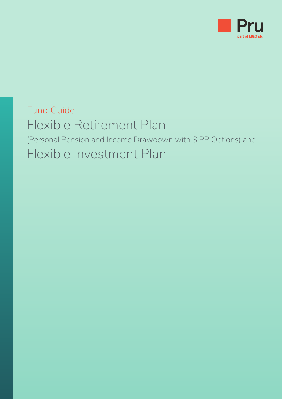

## Fund Guide Flexible Retirement Plan (Personal Pension and Income Drawdown with SIPP Options) and Flexible Investment Plan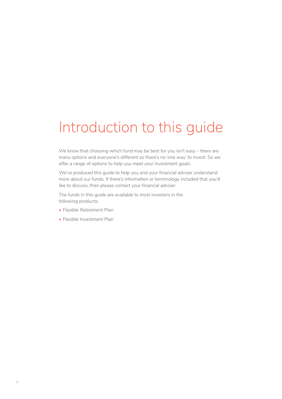# Introduction to this guide

We know that choosing which fund may be best for you isn't easy – there are many options and everyone's different so there's no 'one way' to invest. So we offer a range of options to help you meet your investment goals.

We've produced this guide to help you and your financial adviser understand more about our funds. If there's information or terminology included that you'd like to discuss, then please contact your financial adviser.

The funds in this guide are available to most investors in the following products:

- Flexible Retirement Plan
- Flexible Investment Plan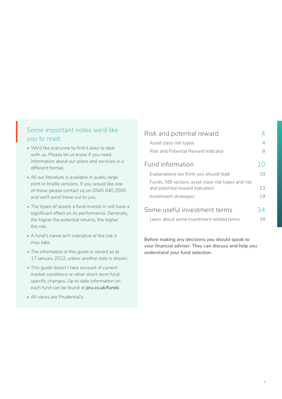## Some important notes we'd like you to read: Sol<br>I<br>I A

- We'd like everyone to find it easy to deal with us. Please let us know if you need information about our plans and services in a different format.
- All our literature is available in audio, large print or braille versions. If you would like one of these please contact us on 0345 640 2000 and we'll send these out to you.
- The types of assets a fund invests in will have a significant effect on its performance. Generally, the higher the potential returns, the higher the risk.
- A fund's name isn't indicative of the risk it may take.
- The information in this guide is correct as at 17 January 2022, unless another date is shown.
- This guide doesn't take account of current market conditions or other short-term fund specific changes. Up to date information on each fund can be found at **[pru.co.uk/funds](https://www.pru.co.uk/funds/)**
- All views are Prudential's.

| Risk and potential reward                                                              |                |  |  |  |  |  |  |  |
|----------------------------------------------------------------------------------------|----------------|--|--|--|--|--|--|--|
| Asset class risk types                                                                 |                |  |  |  |  |  |  |  |
| Risk and Potential Reward Indicator                                                    | 8              |  |  |  |  |  |  |  |
| Fund information                                                                       | 10             |  |  |  |  |  |  |  |
| Explanations we think you should read                                                  | 1 <sub>0</sub> |  |  |  |  |  |  |  |
| Funds, ABI sectors, asset class risk types and risk<br>and potential reward indicators | 13             |  |  |  |  |  |  |  |
| Investment strategies                                                                  | 19             |  |  |  |  |  |  |  |
| Some useful investment terms                                                           | 34             |  |  |  |  |  |  |  |
| Learn about some investment related terms                                              | 34             |  |  |  |  |  |  |  |
|                                                                                        |                |  |  |  |  |  |  |  |

**Before making any decisions you should speak to your financial adviser. They can discuss and help you understand your fund selection.**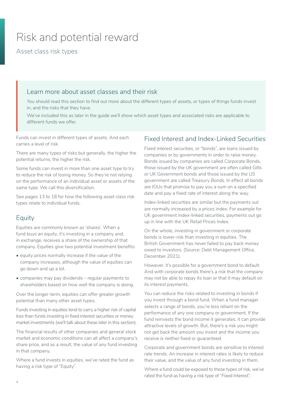## <span id="page-3-0"></span>Risk and potential reward

Asset class risk types

## Learn more about asset classes and their risk

You should read this section to find out more about the different types of assets, or types of things funds invest in, and the risks that they have.

We've included this as later in the guide we'll show which asset types and associated risks are applicable to different funds we offer.

Funds can invest in different types of assets. And each carries a level of risk.

There are many types of risks but generally, the higher the potential returns, the higher the risk.

Some funds can invest in more than one asset type to try to reduce the risk of losing money. So they're not relying on the performance of an individual asset or assets of the same type. We call this diversification.

See pages 13 to 18 for how the following asset class risk types relate to individual funds.

## Equity

Equities are commonly known as 'shares'. When a fund buys an equity, it's investing in a company and, in exchange, receives a share of the ownership of that company. Equities give two potential investment benefits:

- equity prices normally increase if the value of the company increases, although the value of equities can go down and up a lot.
- companies may pay dividends regular payments to shareholders based on how well the company is doing.

Over the longer-term, equities can offer greater growth potential than many other asset types.

Funds investing in equities tend to carry a higher risk of capital loss than funds investing in fixed interest securities or money market investments (we'll talk about these later in this section).

The financial results of other companies and general stock market and economic conditions can all affect a company's share price, and as a result, the value of any fund investing in that company.

Where a fund invests in equities, we've rated the fund as having a risk type of "Equity".

## Fixed Interest and Index-Linked Securities

Fixed interest securities, or "bonds", are loans issued by companies or by governments in order to raise money. Bonds issued by companies are called Corporate Bonds, those issued by the UK government are often called Gilts or UK Government bonds and those issued by the US government are called Treasury Bonds. In effect all bonds are IOUs that promise to pay you a sum on a specified date and pay a fixed rate of interest along the way.

Index-linked securities are similar but the payments out are normally increased by a prices index. For example for UK government index-linked securities, payments out go up in line with the UK Retail Prices Index.

On the whole, investing in government or corporate bonds is lower-risk than investing in equities. The British Government has never failed to pay back money owed to investors. (Source: Debt Management Office, December 2021).

However, it's possible for a government bond to default. And with corporate bonds there's a risk that the company may not be able to repay its loan or that it may default on its interest payments.

You can reduce the risks related to investing in bonds if you invest through a bond fund. When a fund manager selects a range of bonds, you're less reliant on the performance of any one company or government. If the fund reinvests the bond income it generates, it can provide attractive levels of growth. But, there's a risk you might not get back the amount you invest and the income you receive is neither fixed or guaranteed.

Corporate and government bonds are sensitive to interest rate trends. An increase in interest rates is likely to reduce their value, and the value of any fund investing in them.

Where a fund could be exposed to these types of risk, we've rated the fund as having a risk type of "Fixed Interest".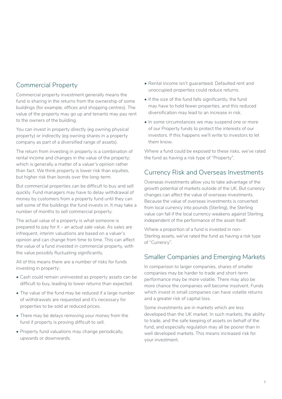## Commercial Property

Commercial property investment generally means the fund is sharing in the returns from the ownership of some buildings (for example, offices and shopping centres). The value of the property may go up and tenants may pay rent to the owners of the building.

You can invest in property directly (eg owning physical property) or indirectly (eg owning shares in a property company as part of a diversified range of assets).

The return from investing in property is a combination of rental income and changes in the value of the property; which is generally a matter of a valuer's opinion rather than fact. We think property is lower risk than equities, but higher risk than bonds over the long-term.

But commercial properties can be difficult to buy and sell quickly. Fund managers may have to delay withdrawal of money by customers from a property fund until they can sell some of the buildings the fund invests in. It may take a number of months to sell commercial property.

The actual value of a property is what someone is prepared to pay for it – an actual sale value. As sales are infrequent, interim valuations are based on a valuer's opinion and can change from time to time. This can affect the value of a fund invested in commercial property, with the value possibly fluctuating significantly.

All of this means there are a number of risks for funds investing in property:

- Cash could remain uninvested as property assets can be difficult to buy, leading to lower returns than expected.
- The value of the fund may be reduced if a large number of withdrawals are requested and it's necessary for properties to be sold at reduced prices.
- There may be delays removing your money from the fund if property is proving difficult to sell.
- Property fund valuations may change periodically, upwards or downwards.
- Rental income isn't guaranteed. Defaulted rent and unoccupied properties could reduce returns.
- If the size of the fund falls significantly, the fund may have to hold fewer properties, and this reduced diversification may lead to an increase in risk.
- In some circumstances we may suspend one or more of our Property funds to protect the interests of our investors. If this happens we'll write to investors to let them know.

Where a fund could be exposed to these risks, we've rated the fund as having a risk type of "Property".

## Currency Risk and Overseas Investments

Overseas investments allow you to take advantage of the growth potential of markets outside of the UK. But currency changes can affect the value of overseas investments. Because the value of overseas investments is converted from local currency into pounds (Sterling), the Sterling value can fall if the local currency weakens against Sterling, independent of the performance of the asset itself.

Where a proportion of a fund is invested in non-Sterling assets, we've rated the fund as having a risk type of "Currency".

## Smaller Companies and Emerging Markets

In comparison to larger companies, shares of smaller companies may be harder to trade and short-term performance may be more volatile. There may also be more chance the companies will become insolvent. Funds which invest in small companies can have volatile returns and a greater risk of capital loss.

Some investments are in markets which are less developed than the UK market. In such markets, the ability to trade, and the safe keeping of assets on behalf of the fund, and especially regulation may all be poorer than in well developed markets. This means increased risk for your investment.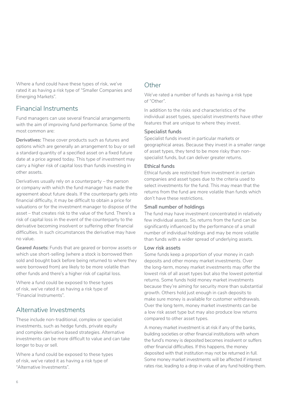Where a fund could have these types of risk, we've rated it as having a risk type of "Smaller Companies and Emerging Markets".

## Financial Instruments

Fund managers can use several financial arrangements with the aim of improving fund performance. Some of the most common are:

**Derivatives:** These cover products such as futures and options which are generally an arrangement to buy or sell a standard quantity of a specified asset on a fixed future date at a price agreed today. This type of investment may carry a higher risk of capital loss than funds investing in other assets.

Derivatives usually rely on a counterparty – the person or company with which the fund manager has made the agreement about future deals. If the counterparty gets into financial difficulty, it may be difficult to obtain a price for valuations or for the investment manager to dispose of the asset – that creates risk to the value of the fund. There's a risk of capital loss in the event of the counterparty to the derivative becoming insolvent or suffering other financial difficulties. In such circumstances the derivative may have no value.

**Geared Assets:** Funds that are geared or borrow assets or which use short-selling (where a stock is borrowed then sold and bought back before being returned to where they were borrowed from) are likely to be more volatile than other funds and there's a higher risk of capital loss.

Where a fund could be exposed to these types of risk, we've rated it as having a risk type of "Financial Instruments".

## Alternative Investments

These include non-traditional, complex or specialist investments, such as hedge funds, private equity and complex derivative based strategies. Alternative investments can be more difficult to value and can take longer to buy or sell.

Where a fund could be exposed to these types of risk, we've rated it as having a risk type of "Alternative Investments".

## **Other**

We've rated a number of funds as having a risk type of "Other".

In addition to the risks and characteristics of the individual asset types, specialist investments have other features that are unique to where they invest.

#### **Specialist funds**

Specialist funds invest in particular markets or geographical areas. Because they invest in a smaller range of asset types, they tend to be more risky than nonspecialist funds, but can deliver greater returns.

#### **Ethical funds**

Ethical funds are restricted from investment in certain companies and asset types due to the criteria used to select investments for the fund. This may mean that the returns from the fund are more volatile than funds which don't have these restrictions.

#### **Small number of holdings**

The fund may have investment concentrated in relatively few individual assets. So, returns from the fund can be significantly influenced by the performance of a small number of individual holdings and may be more volatile than funds with a wider spread of underlying assets.

#### **Low risk assets**

Some funds keep a proportion of your money in cash deposits and other money market investments. Over the long-term, money market investments may offer the lowest risk of all asset types but also the lowest potential returns. Some funds hold money market investments because they're aiming for security more than substantial growth. Others hold just enough in cash deposits to make sure money is available for customer withdrawals. Over the long term, money market investments can be a low risk asset type but may also produce low returns compared to other asset types.

A money market investment is at risk if any of the banks, building societies or other financial institutions with whom the fund's money is deposited becomes insolvent or suffers other financial difficulties. If this happens, the money deposited with that institution may not be returned in full. Some money market investments will be affected if interest rates rise, leading to a drop in value of any fund holding them.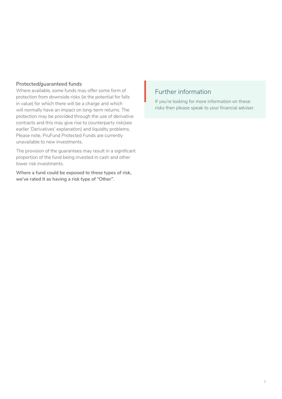#### **Protected/guaranteed funds**

Where available, some funds may offer some form of protection from downside risks (ie the potential for falls in value) for which there will be a charge and which will normally have an impact on long-term returns. The protection may be provided through the use of derivative contracts and this may give rise to counterparty risk(see earlier 'Derivatives' explanation) and liquidity problems. Please note, PruFund Protected Funds are currently unavailable to new investments.

The provision of the guarantees may result in a significant proportion of the fund being invested in cash and other lower risk investments.

**Where a fund could be exposed to these types of risk, we've rated it as having a risk type of "Other"**.

## Further information  $\frac{1}{16}$

If you're looking for more information on these risks then please speak to your financial adviser.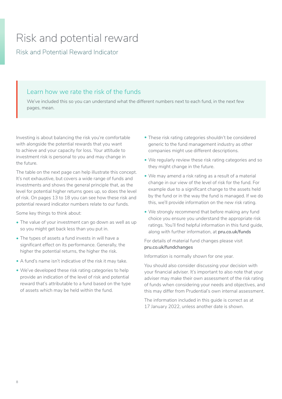## <span id="page-7-0"></span>Risk and potential reward

Risk and Potential Reward Indicator

## Learn how we rate the risk of the funds

We've included this so you can understand what the different numbers next to each fund, in the next few pages, mean.

Investing is about balancing the risk you're comfortable with alongside the potential rewards that you want to achieve and your capacity for loss. Your attitude to investment risk is personal to you and may change in the future.

The table on the next page can help illustrate this concept. It's not exhaustive, but covers a wide range of funds and investments and shows the general principle that, as the level for potential higher returns goes up, so does the level of risk. On pages 13 to 18 you can see how these risk and potential reward indicator numbers relate to our funds.

Some key things to think about:

- The value of your investment can go down as well as up so you might get back less than you put in.
- The types of assets a fund invests in will have a significant effect on its performance. Generally, the higher the potential returns, the higher the risk.
- A fund's name isn't indicative of the risk it may take.
- We've developed these risk rating categories to help provide an indication of the level of risk and potential reward that's attributable to a fund based on the type of assets which may be held within the fund.
- These risk rating categories shouldn't be considered generic to the fund management industry as other companies might use different descriptions.
- We regularly review these risk rating categories and so they might change in the future.
- We may amend a risk rating as a result of a material change in our view of the level of risk for the fund. For example due to a significant change to the assets held by the fund or in the way the fund is managed. If we do this, we'll provide information on the new risk rating.
- We strongly recommend that before making any fund choice you ensure you understand the appropriate risk ratings. You'll find helpful information in this fund guide, along with further information, at **[pru.co.uk/funds](https://www.pru.co.uk/funds/)**

#### For details of material fund changes please visit **[pru.co.uk/fundchanges](https://www.pru.co.uk/funds/fund-changes/?utm_source=redirect&utm_medium=301&utm_campaign=/fundchanges)**

Information is normally shown for one year.

You should also consider discussing your decision with your financial adviser. It's important to also note that your adviser may make their own assessment of the risk rating of funds when considering your needs and objectives, and this may differ from Prudential's own internal assessment.

The information included in this guide is correct as at 17 January 2022, unless another date is shown.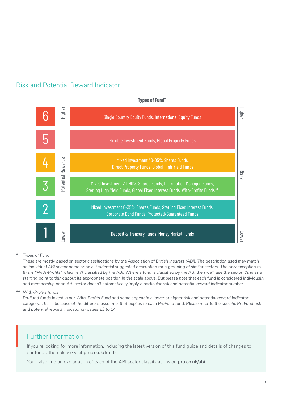



#### **Types of Fund\***

*\* Types of Fund*

*These are mostly based on sector classifications by the Association of British Insurers (ABI). The description used may match an individual ABI sector name or be a Prudential suggested description for a grouping of similar sectors. The only exception to this is "With-Profits" which isn't classified by the ABI. Where a fund is classified by the ABI then we'll use the sector it's in as a starting point to think about its appropriate position in the scale above. But please note that each fund is considered individually*  and membership of an ABI sector doesn't automatically imply a particular risk and potential reward indicator number.

*\*\* With-Profits funds* 

*PruFund funds invest in our With-Profits Fund and some appear in a lower or higher risk and potential reward indicator category. This is because of the different asset mix that applies to each PruFund fund. Please refer to the specific PruFund risk and potential reward indicator on pages 13 to 14.*

## Further information

If you're looking for more information, including the latest version of this fund guide and details of changes to our funds, then please visit **[pru.co.uk/funds](https://www.pru.co.uk/funds/)**  $\Bigg\vert_{\mathsf{f}}$ 

You'll also find an explanation of each of the ABI sector classifications on **[pru.co.uk/abi](https://www.pru.co.uk/funds/abi-sector-definitions/?utm_source=redirect&utm_medium=301&utm_campaign=/abi/)**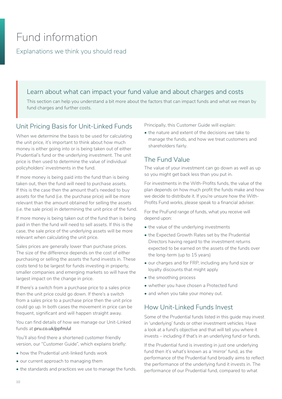## <span id="page-9-0"></span>Fund information

Explanations we think you should read

## Learn about what can impact your fund value and about charges and costs

This section can help you understand a bit more about the factors that can impact funds and what we mean by fund charges and further costs.

## Unit Pricing Basis for Unit-Linked Funds

When we determine the basis to be used for calculating the unit price, it's important to think about how much money is either going into or is being taken out of either Prudential's fund or the underlying investment. The unit price is then used to determine the value of individual policyholders' investments in the fund.

If more money is being paid into the fund than is being taken out, then the fund will need to purchase assets. If this is the case then the amount that's needed to buy assets for the fund (i.e. the purchase price) will be more relevant than the amount obtained for selling the assets (i.e. the sale price) in determining the unit price of the fund.

If more money is being taken out of the fund than is being paid in then the fund will need to sell assets. If this is the case, the sale price of the underlying assets will be more relevant when calculating the unit price.

Sales prices are generally lower than purchase prices. The size of the difference depends on the cost of either purchasing or selling the assets the fund invests in. These costs tend to be largest for funds investing in property, smaller companies and emerging markets so will have the largest impact on the change in price.

If there's a switch from a purchase price to a sales price then the unit price could go down. If there's a switch from a sales price to a purchase price then the unit price could go up. In both cases the movement in price can be frequent, significant and will happen straight away.

You can find details of how we manage our Unit-Linked funds at **[pru.co.uk/ppfm/ul](https://www.pru.co.uk/funds/psulpp/?utm_source=redirect&utm_medium=301&utm_campaign=/ppfm/ul/)**

You'll also find there a shortened customer friendly version, our "Customer Guide", which explains briefly:

- how the Prudential unit-linked funds work
- our current approach to managing them
- the standards and practices we use to manage the funds.

Principally, this Customer Guide will explain:

• the nature and extent of the decisions we take to manage the funds, and how we treat customers and shareholders fairly.

## The Fund Value

The value of your investment can go down as well as up so you might get back less than you put in.

For investments in the With-Profits funds, the value of the plan depends on how much profit the funds make and how we decide to distribute it. If you're unsure how the With-Profits Fund works, please speak to a financial adviser.

For the PruFund range of funds, what you receive will depend upon:

- the value of the underlying investments
- the Expected Growth Rates set by the Prudential Directors having regard to the investment returns expected to be earned on the assets of the funds over the long-term (up to 15 years)
- our charges and for FRP, including any fund size or loyalty discounts that might apply
- the smoothing process
- whether you have chosen a Protected fund
- and when you take your money out.

## How Unit-Linked Funds Invest

Some of the Prudential funds listed in this guide may invest in 'underlying' funds or other investment vehicles. Have a look at a fund's objective and that will tell you where it invests – including if that's in an underlying fund or funds.

If the Prudential fund is investing in just one underlying fund then it's what's known as a 'mirror' fund, as the performance of the Prudential fund broadly aims to reflect the performance of the underlying fund it invests in. The performance of our Prudential fund, compared to what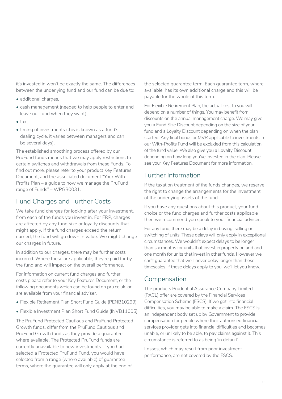it's invested in won't be exactly the same. The differences between the underlying fund and our fund can be due to:

- additional charges,
- cash management (needed to help people to enter and leave our fund when they want),
- tax,
- timing of investments (this is known as a fund's dealing cycle, it varies between managers and can be several days).

The established smoothing process offered by our PruFund funds means that we may apply restrictions to certain switches and withdrawals from these Funds. To find out more, please refer to your product Key Features Document, and the associated document "Your With-Profits Plan – a guide to how we manage the PruFund range of Funds" – WPGB0031.

## Fund Charges and Further Costs

We take fund charges for looking after your investment, from each of the funds you invest in. For FRP, charges are affected by any fund size or loyalty discounts that might apply. If the fund charges exceed the return earned, the fund will go down in value. We might change our charges in future.

In addition to our charges, there may be further costs incurred. Where these are applicable, they're paid for by the fund and will impact on the overall performance.

For information on current fund charges and further costs please refer to your Key Features Document, or the following documents which can be found on pru.co.uk, or are available from your financial adviser.

- Flexible Retirement Plan Short Fund Guide (PENB10299)
- Flexible Investment Plan Short Fund Guide (INVB11005)

The PruFund Protected Cautious and PruFund Protected Growth funds, differ from the PruFund Cautious and PruFund Growth funds as they provide a guarantee, where available. The Protected PruFund funds are currently unavailable to new investments. If you had selected a Protected PruFund Fund, you would have selected from a range (where available) of guarantee terms, where the guarantee will only apply at the end of

the selected guarantee term. Each guarantee term, where available, has its own additional charge and this will be payable for the whole of this term.

For Flexible Retirement Plan, the actual cost to you will depend on a number of things. You may benefit from discounts on the annual management charge. We may give you a Fund Size Discount depending on the size of your fund and a Loyalty Discount depending on when the plan started. Any final bonus or MVR applicable to investments in our With-Profits Fund will be excluded from this calculation of the fund value. We also give you a Loyalty Discount depending on how long you've invested in the plan. Please see your Key Features Document for more information.

## Further Information

If the taxation treatment of the funds changes, we reserve the right to change the arrangements for the investment of the underlying assets of the fund.

If you have any questions about this product, your fund choice or the fund charges and further costs applicable then we recommend you speak to your financial adviser.

For any fund, there may be a delay in buying, selling or switching of units. These delays will only apply in exceptional circumstances. We wouldn't expect delays to be longer than six months for units that invest in property or land and one month for units that invest in other funds. However we can't guarantee that we'll never delay longer than these timescales. If these delays apply to you, we'll let you know.

## Compensation

The products Prudential Assurance Company Limited (PACL) offer are covered by the Financial Services Compensation Scheme (FSCS). If we get into financial difficulties, you may be able to make a claim. The FSCS is an independent body set up by Government to provide compensation for people where their authorised financial services provider gets into financial difficulties and becomes unable, or unlikely to be able, to pay claims against it. This circumstance is referred to as being 'in default'.

Losses, which may result from poor investment performance, are not covered by the FSCS.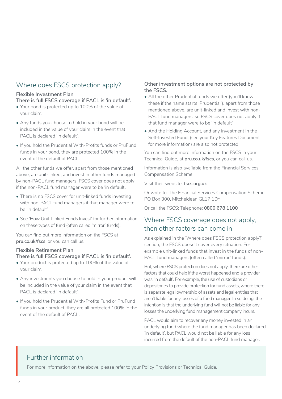## Where does FSCS protection apply?

#### **Flexible Investment Plan**

**There is full FSCS coverage if PACL is 'in default'.**

- Your bond is protected up to 100% of the value of your claim.
- Any funds you choose to hold in your bond will be included in the value of your claim in the event that PACL is declared 'in default'.
- If you hold the Prudential With-Profits funds or PruFund funds in your bond, they are protected 100% in the event of the default of PACL.

All the other funds we offer, apart from those mentioned above, are unit-linked, and invest in other funds managed by non-PACL fund managers. FSCS cover does not apply if the non-PACL fund manager were to be 'in default'.

- There is no FSCS cover for unit-linked funds investing with non-PACL fund managers if that manager were to be 'in default'.
- See 'How Unit-Linked Funds Invest' for further information on these types of fund (often called 'mirror' funds).

You can find out more information on the FSCS at **[pru.co.uk/fscs](https://www.pru.co.uk/fscs)**, or you can call us.

#### **Flexible Retirement Plan**

**There is full FSCS coverage if PACL is 'in default'.**

- Your product is protected up to 100% of the value of your claim.
- Any investments you choose to hold in your product will be included in the value of your claim in the event that PACL is declared 'in default'.
- If you hold the Prudential With-Profits Fund or PruFund funds in your product, they are all protected 100% in the event of the default of PACL.

#### **Other investment options are not protected by the FSCS.**

- All the other Prudential funds we offer (you'll know these if the name starts 'Prudential'), apart from those mentioned above, are unit-linked and invest with non-PACL fund managers, so FSCS cover does not apply if that fund manager were to be 'in default'.
- And the Holding Account, and any investment in the Self-Invested Fund, (see your Key Features Document for more information) are also not protected.

You can find out more information on the FSCS in your Technical Guide, at **[pru.co.uk/fscs](https://www.pru.co.uk/fscs)**, or you can call us.

Information is also available from the Financial Services Compensation Scheme.

Visit their website: **[fscs.org.uk](https://www.fscs.org.uk)**

Or write to: The Financial Services Compensation Scheme, PO Box 300, Mitcheldean GL17 1DY

Or call the FSCS: Telephone: **0800 678 1100**

## Where FSCS coverage does not apply, then other factors can come in

As explained in the 'Where does FSCS protection apply?' section, the FSCS doesn't cover every situation. For example unit-linked funds that invest in the funds of non-PACL fund managers (often called 'mirror' funds).

But, where FSCS protection does not apply, there are other factors that could help if the worst happened and a provider was 'in default'. For example, the use of custodians or depositories to provide protection for fund assets, where there is separate legal ownership of assets and legal entities that aren't liable for any losses of a fund manager. In so doing, the intention is that the underlying fund will not be liable for any losses the underlying fund management company incurs.

PACL would aim to recover any money invested in an underlying fund where the fund manager has been declared 'in default', but PACL would not be liable for any loss incurred from the default of the non-PACL fund manager.

## Further information

For more information on the above, please refer to your Policy Provisions or Technical Guide.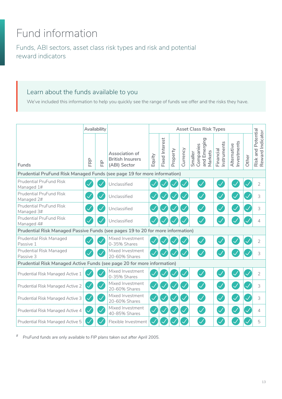# <span id="page-12-0"></span>Fund information

Funds, ABI sectors, asset class risk types and risk and potential reward indicators

## Learn about the funds available to you

We've included this information to help you quickly see the range of funds we offer and the risks they have.

|                                                                                 | Availability             |                       |                                                           | <b>Asset Class Risk Types</b> |                       |          |              |         |                                      |                         |                           |       |                                                    |
|---------------------------------------------------------------------------------|--------------------------|-----------------------|-----------------------------------------------------------|-------------------------------|-----------------------|----------|--------------|---------|--------------------------------------|-------------------------|---------------------------|-------|----------------------------------------------------|
| Funds                                                                           | FRP                      | $\frac{\rho}{\Gamma}$ | Association of<br><b>British Insurers</b><br>(ABI) Sector | Equity                        | <b>Fixed</b> Interest | Property | Currency     | Smaller | and Emerging<br>Companies<br>Markets | nstruments<br>Financial | nvestments<br>Alternative | Other | Potential<br>Risk and Potentia<br>Reward Indicator |
| Prudential PruFund Risk Managed Funds (see page 19 for more information)        |                          |                       |                                                           |                               |                       |          |              |         |                                      |                         |                           |       |                                                    |
| <b>Prudential PruFund Risk</b><br>Managed 1#                                    |                          |                       | Unclassified                                              |                               |                       |          |              |         |                                      |                         |                           |       | $\overline{2}$                                     |
| <b>Prudential PruFund Risk</b><br>Managed 2#                                    |                          |                       | Unclassified                                              |                               |                       |          |              |         |                                      |                         |                           |       | 3                                                  |
| <b>Prudential PruFund Risk</b><br>Managed 3#                                    |                          |                       | Unclassified                                              |                               |                       |          |              |         |                                      |                         |                           |       | 3                                                  |
| <b>Prudential PruFund Risk</b><br>Managed 4#                                    |                          |                       | Unclassified                                              |                               |                       |          |              |         |                                      |                         |                           |       | 4                                                  |
| Prudential Risk Managed Passive Funds (see pages 19 to 20 for more information) |                          |                       |                                                           |                               |                       |          |              |         |                                      |                         |                           |       |                                                    |
| Prudential Risk Managed<br>Passive 1                                            |                          |                       | Mixed Investment<br>0-35% Shares                          |                               |                       |          |              |         |                                      |                         |                           |       | $\overline{2}$                                     |
| Prudential Risk Managed<br>Passive 3                                            |                          |                       | Mixed Investment<br>20-60% Shares                         |                               |                       |          |              |         |                                      |                         |                           |       | 3                                                  |
| Prudential Risk Managed Active Funds (see page 20 for more information)         |                          |                       |                                                           |                               |                       |          |              |         |                                      |                         |                           |       |                                                    |
| Prudential Risk Managed Active 1                                                |                          |                       | Mixed Investment<br>0-35% Shares                          |                               |                       |          |              |         |                                      |                         |                           |       | $\overline{2}$                                     |
| Prudential Risk Managed Active 2                                                |                          |                       | Mixed Investment<br>20-60% Shares                         |                               |                       |          | $\checkmark$ |         |                                      |                         |                           |       | 3                                                  |
| Prudential Risk Managed Active 3                                                | $\overline{\mathcal{S}}$ |                       | Mixed Investment<br>20-60% Shares                         |                               |                       |          | $\checkmark$ |         |                                      |                         |                           |       | 3                                                  |
| Prudential Risk Managed Active 4                                                | $\mathcal{\mathcal{A}}$  |                       | Mixed Investment<br>40-85% Shares                         |                               |                       |          | $\checkmark$ |         |                                      |                         |                           |       | 4                                                  |
| Prudential Risk Managed Active 5                                                |                          |                       | Flexible Investment                                       |                               |                       |          |              |         |                                      |                         |                           |       | 5                                                  |

*# PruFund funds are only available to FIP plans taken out after April 2005.*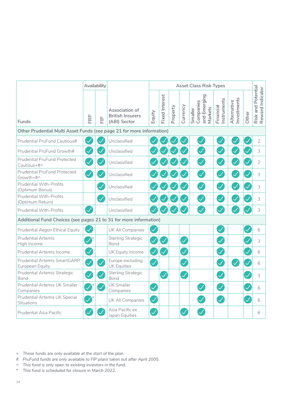|                                                                       |                            | Availability          |                                                           | <b>Asset Class Risk Types</b> |                       |          |                                            |                                                 |                          |                           |       |                                        |  |
|-----------------------------------------------------------------------|----------------------------|-----------------------|-----------------------------------------------------------|-------------------------------|-----------------------|----------|--------------------------------------------|-------------------------------------------------|--------------------------|---------------------------|-------|----------------------------------------|--|
| Funds                                                                 | FRP                        | $\frac{\rho}{\Gamma}$ | Association of<br><b>British Insurers</b><br>(ABI) Sector | Equity                        | <b>Fixed Interest</b> | Property | Currency                                   | Companies<br>and Emerging<br>Markets<br>Smaller | Instruments<br>Financial | nvestments<br>Alternative | Other | Risk and Potential<br>Reward Indicator |  |
| Other Prudential Multi Asset Funds (see page 21 for more information) |                            |                       |                                                           |                               |                       |          |                                            |                                                 |                          |                           |       |                                        |  |
| Prudential PruFund Cautious#                                          |                            |                       | Unclassified                                              |                               |                       |          |                                            | $\mathcal{S}$                                   |                          |                           |       | $\overline{2}$                         |  |
| Prudential PruFund Growth#                                            | $\blacktriangledown$       |                       | Unclassified                                              |                               |                       |          |                                            | $\mathcal{S}$                                   |                          |                           |       | 3                                      |  |
| Prudential PruFund Protected<br>Cautious+#^                           | $\mathcal{S}$              |                       | Unclassified                                              |                               |                       |          | $\checkmark$                               |                                                 | $\prec$                  |                           |       | $\overline{2}$                         |  |
| <b>Prudential PruFund Protected</b><br>Growth+#^                      | $\boldsymbol{\mathcal{J}}$ |                       | Unclassified                                              |                               |                       |          |                                            | $\blacktriangledown$                            | $\mathcal{\sqrt{}}$      |                           |       | 3                                      |  |
| <b>Prudential With-Profits</b><br>(Optimum Bonus)                     |                            |                       | Unclassified                                              |                               |                       |          |                                            | $\mathcal{S}$                                   | $\mathcal{\mathcal{L}}$  |                           |       | 3                                      |  |
| Prudential With-Profits<br>(Optimum Return)                           |                            |                       | Unclassified                                              |                               |                       |          |                                            |                                                 |                          |                           |       | 3                                      |  |
| <b>Prudential With-Profits</b>                                        | $\checkmark$               |                       | Unclassified                                              |                               |                       |          |                                            |                                                 |                          |                           |       | 3                                      |  |
| Additional Fund Choices (see pages 21 to 31 for more information)     |                            |                       |                                                           |                               |                       |          |                                            |                                                 |                          |                           |       |                                        |  |
| Prudential Aegon Ethical Equity                                       | $\mathcal{\mathcal{A}}$    |                       | UK All Companies                                          |                               |                       |          |                                            |                                                 |                          |                           |       | 6                                      |  |
| <b>Prudential Artemis</b><br>High Income                              | $\blacktriangledown$       |                       | Sterling Strategic<br>Bond                                |                               | $\checkmark$          |          | $\checkmark$                               |                                                 |                          |                           |       | 3                                      |  |
| Prudential Artemis Income                                             | Ø                          |                       | UK Equity Income                                          | $\mathcal{\mathcal{A}}$       | $\prec$               |          | $\mathcal{\mathcal{A}}% ^{n}(\mathcal{A})$ |                                                 | $\checkmark$             |                           |       | 6                                      |  |
| Prudential Artemis SmartGARP<br>European Equity                       | $\bigtriangledown$         |                       | Europe excluding<br><b>UK Equities</b>                    | $\overline{\checkmark}$       |                       |          | $\checkmark$                               |                                                 | $\mathcal{\mathcal{L}}$  | $\overline{\checkmark}$   |       | 6                                      |  |
| Prudential Artemis Strategic<br>Bond                                  | $\mathcal{S}$              |                       | Sterling Strategic<br>Bond                                |                               | $\checkmark$          |          | $\overline{\checkmark}$                    |                                                 | $\checkmark$             |                           |       | 3                                      |  |
| Prudential Artemis UK Smaller<br>Companies                            | $\sum_{i=1}^{n}$           |                       | <b>UK Smaller</b><br>Companies                            | $\checkmark$                  |                       |          |                                            |                                                 | $\mathcal{S}$            |                           |       | 6                                      |  |
| Prudential Artemis UK Special<br>Situations                           | $\blacktriangledown$       |                       | UK All Companies                                          | $\checkmark$                  |                       |          |                                            |                                                 | $\mathcal{\mathcal{A}}$  |                           |       | 6                                      |  |
| <b>Prudential Asia Pacific</b>                                        |                            |                       | Asia Pacific ex<br>Japan Equities                         |                               |                       |          |                                            |                                                 |                          |                           |       | 6                                      |  |

- *+ These funds are only available at the start of the plan.*
- *# PruFund funds are only available to FIP plans taken out after April 2005.*
- *^ This fund is only open to existing investors in the fund.*
- *\* This fund is scheduled for closure in March 2022.*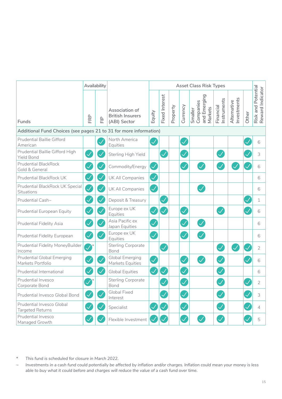|                                                                                                                                                                                                                                                                                                        |               | Availability |                                                           | <b>Asset Class Risk Types</b> |                       |          |                         |                                                 |                         |                           |       |                                        |  |  |
|--------------------------------------------------------------------------------------------------------------------------------------------------------------------------------------------------------------------------------------------------------------------------------------------------------|---------------|--------------|-----------------------------------------------------------|-------------------------------|-----------------------|----------|-------------------------|-------------------------------------------------|-------------------------|---------------------------|-------|----------------------------------------|--|--|
| Funds                                                                                                                                                                                                                                                                                                  | FRP           | 日            | Association of<br><b>British Insurers</b><br>(ABI) Sector | Equity                        | <b>Fixed Interest</b> | Property | Currency                | and Emerging<br>Smaller<br>Companies<br>Markets | nstruments<br>Financial | nvestments<br>Alternative | Other | Risk and Potential<br>Reward Indicator |  |  |
| Additional Fund Choices (see pages 21 to 31 for more information)                                                                                                                                                                                                                                      |               |              |                                                           |                               |                       |          |                         |                                                 |                         |                           |       |                                        |  |  |
| <b>Prudential Baillie Gifford</b><br>American                                                                                                                                                                                                                                                          |               |              | North America<br>Equities                                 |                               |                       |          | $\bigvee$               |                                                 |                         |                           |       | 6                                      |  |  |
| Prudential Baillie Gifford High<br><b>Yield Bond</b>                                                                                                                                                                                                                                                   | $\checkmark$  |              | Sterling High Yield                                       |                               | $\checkmark$          |          | $\checkmark$            |                                                 |                         |                           |       | 3                                      |  |  |
| <b>Prudential BlackRock</b><br>Gold & General                                                                                                                                                                                                                                                          | $\checkmark$  |              | Commodity/Energy                                          | $\checkmark$                  |                       |          | V                       |                                                 |                         |                           |       | 6                                      |  |  |
| Prudential BlackRock UK                                                                                                                                                                                                                                                                                | $\mathcal{S}$ |              | UK All Companies                                          | $\checkmark$                  |                       |          |                         |                                                 |                         |                           |       | 6                                      |  |  |
| Prudential BlackRock UK Special<br>Situations                                                                                                                                                                                                                                                          | $\mathcal{S}$ | $\checkmark$ | UK All Companies                                          | $\mathcal{A}$                 |                       |          |                         |                                                 |                         |                           |       | 6                                      |  |  |
| Prudential Cash~                                                                                                                                                                                                                                                                                       | $\checkmark$  |              | Deposit & Treasury                                        |                               | $\checkmark$          |          |                         |                                                 |                         |                           |       | 1                                      |  |  |
| Prudential European Equity                                                                                                                                                                                                                                                                             | $\mathcal{S}$ |              | Europe ex UK<br>Equities                                  |                               | $\checkmark$          |          | $\mathcal{\mathcal{A}}$ |                                                 |                         |                           |       | 6                                      |  |  |
| Prudential Fidelity Asia                                                                                                                                                                                                                                                                               | $\checkmark$  |              | Asia Pacific ex<br>Japan Equities                         |                               |                       |          | $\checkmark$            |                                                 |                         |                           |       | 6                                      |  |  |
| Prudential Fidelity European                                                                                                                                                                                                                                                                           | $\bigvee$     |              | Europe ex UK<br>Equities                                  |                               |                       |          | $\blacktriangledown$    |                                                 |                         |                           |       | 6                                      |  |  |
| Prudential Fidelity MoneyBuilder<br>Income                                                                                                                                                                                                                                                             | $\bullet^*$   |              | <b>Sterling Corporate</b><br>Bond                         |                               | $\blacktriangledown$  |          |                         |                                                 |                         |                           |       | $\overline{2}$                         |  |  |
| <b>Prudential Global Emerging</b><br>Markets Portfolio                                                                                                                                                                                                                                                 |               |              | Global Emerging<br>Markets Equities                       | $\mathcal{\mathcal{A}}$       |                       |          | $\mathcal{\mathcal{A}}$ |                                                 |                         |                           |       | 6                                      |  |  |
| Prudential International                                                                                                                                                                                                                                                                               | $\checkmark$  |              | <b>Global Equities</b>                                    | $\overline{\mathcal{S}}$      | $\checkmark$          |          | $\overline{\checkmark}$ |                                                 |                         |                           |       | 6                                      |  |  |
| Prudential Invesco<br>Corporate Bond                                                                                                                                                                                                                                                                   | $\mathcal{S}$ |              | <b>Sterling Corporate</b><br>Bond                         |                               | $\checkmark$          |          | V                       |                                                 |                         |                           |       | $\overline{2}$                         |  |  |
| Prudential Invesco Global Bond                                                                                                                                                                                                                                                                         |               |              | Global Fixed<br>Interest                                  |                               |                       |          |                         |                                                 |                         |                           |       | 3                                      |  |  |
| Prudential Invesco Global<br><b>Targeted Returns</b>                                                                                                                                                                                                                                                   |               |              | Specialist                                                |                               |                       |          |                         |                                                 |                         |                           |       | 4                                      |  |  |
| Prudential Invesco<br>Managed Growth                                                                                                                                                                                                                                                                   |               |              | Flexible Investment                                       |                               | $\checkmark$          |          | $\checkmark$            |                                                 |                         |                           |       | 5                                      |  |  |
| $\ast$<br>This fund is scheduled for closure in March 2022.<br>Investments in a cash fund could potentially be affected by inflation and/or charges. Inflation could mean your money is less<br>$\sim$<br>able to buy what it could before and charges will reduce the value of a cash fund over time. |               |              |                                                           |                               |                       |          |                         |                                                 |                         |                           |       |                                        |  |  |

- *\* This fund is scheduled for closure in March 2022.*
- *~ Investments in a cash fund could potentially be affected by inflation and/or charges. Inflation could mean your money is less*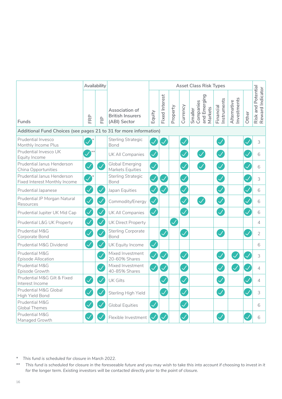|                                                                   |                          | Availability |                                                           | <b>Asset Class Risk Types</b> |                          |          |                          |                                                 |                          |                           |       |                                        |  |
|-------------------------------------------------------------------|--------------------------|--------------|-----------------------------------------------------------|-------------------------------|--------------------------|----------|--------------------------|-------------------------------------------------|--------------------------|---------------------------|-------|----------------------------------------|--|
| <b>Funds</b>                                                      | FRP                      | 읖            | Association of<br><b>British Insurers</b><br>(ABI) Sector | Equity                        | <b>Fixed Interest</b>    | Property | Currency                 | Companies<br>and Emerging<br>Markets<br>Smaller | Instruments<br>Financial | nvestments<br>Alternative | Other | Risk and Potential<br>Reward Indicator |  |
| Additional Fund Choices (see pages 21 to 31 for more information) |                          |              |                                                           |                               |                          |          |                          |                                                 |                          |                           |       |                                        |  |
| Prudential Invesco<br>Monthly Income Plus                         |                          |              | <b>Sterling Strategic</b><br>Bond                         |                               |                          |          | $\mathcal{S}$            |                                                 | $\mathcal{S}$            |                           |       | 3                                      |  |
| Prudential Invesco UK<br>Equity Income                            |                          |              | UK All Companies                                          | $\checkmark$                  |                          |          | $\blacktriangledown$     |                                                 | $\checkmark$             |                           |       | 6                                      |  |
| Prudential Janus Henderson<br>China Opportunities                 | $\checkmark$             |              | <b>Global Emerging</b><br>Markets Equities                | $\overline{\mathscr{S}}$      |                          |          | $\checkmark$             |                                                 | $\checkmark$             |                           |       | 6                                      |  |
| Prudential Janus Henderson<br>Fixed Interest Monthly Income       | $\blacktriangledown$     |              | Sterling Strategic<br>Bond                                | $\mathcal{\mathcal{A}}$       | <b>V</b>                 |          | $\mathcal{\mathcal{A}}$  |                                                 |                          |                           |       | 3                                      |  |
| Prudential Japanese                                               | Ø                        |              | Japan Equities                                            | $\checkmark$                  | $\checkmark$             |          | $\mathcal{\mathcal{A}}$  |                                                 | $\checkmark$             |                           |       | 6                                      |  |
| Prudential JP Morgan Natural<br>Resources                         | $\bigtriangledown$       |              | Commodity/Energy                                          | $\checkmark$                  |                          |          | $\overline{\checkmark}$  |                                                 |                          |                           |       | 6                                      |  |
| Prudential Jupiter UK Mid Cap                                     | $\mathcal{S}$            |              | UK All Companies                                          | $\bigvee$                     |                          |          | $\overline{\checkmark}$  |                                                 | $\overline{\mathscr{S}}$ |                           |       | 6                                      |  |
| Prudential L&G UK Property                                        | $\mathcal{S}$            |              | <b>UK Direct Property</b>                                 |                               |                          |          |                          |                                                 |                          |                           |       | $\overline{4}$                         |  |
| Prudential M&G<br>Corporate Bond                                  | $\bigvee$                |              | <b>Sterling Corporate</b><br>Bond                         |                               | $\overline{\mathscr{S}}$ |          | $\checkmark$             |                                                 |                          |                           |       | $\overline{2}$                         |  |
| Prudential M&G Dividend                                           | $\overline{\mathcal{S}}$ |              | UK Equity Income                                          | $\checkmark$                  |                          |          |                          |                                                 |                          |                           |       | 6                                      |  |
| Prudential M&G<br>Episode Allocation                              |                          |              | Mixed Investment<br>20-60% Shares                         | $\checkmark$                  | $\bigvee$                |          | $\mathcal{S}$            |                                                 |                          |                           |       | 3                                      |  |
| Prudential M&G<br>Episode Growth                                  |                          |              | Mixed Investment<br>40-85% Shares                         |                               |                          |          | $\checkmark$             |                                                 |                          |                           |       | $\overline{4}$                         |  |
| Prudential M&G Gilt & Fixed<br>Interest Income                    | $\checkmark$             |              | <b>UK Gilts</b>                                           |                               | $\checkmark$             |          | $\overline{\mathcal{S}}$ |                                                 |                          |                           |       | $\overline{4}$                         |  |
| Prudential M&G Global<br>High Yield Bond                          |                          |              | Sterling High Yield                                       |                               | $\checkmark$             |          | $\overline{\mathcal{S}}$ |                                                 |                          |                           |       | 3                                      |  |
| Prudential M&G<br><b>Global Themes</b>                            | $\checkmark$             |              | <b>Global Equities</b>                                    | $\checkmark$                  |                          |          | $\overline{\mathcal{S}}$ |                                                 |                          |                           |       | 6                                      |  |
| Prudential M&G<br>Managed Growth                                  |                          |              | Flexible Investment                                       |                               |                          |          | $\overline{\checkmark}$  |                                                 |                          |                           |       | 6                                      |  |

*\* This fund is scheduled for closure in March 2022.*

*<sup>\*\*</sup> This fund is scheduled for closure in the foreseeable future and you may wish to take this into account if choosing to invest in it for the longer term. Existing investors will be contacted directly prior to the point of closure.*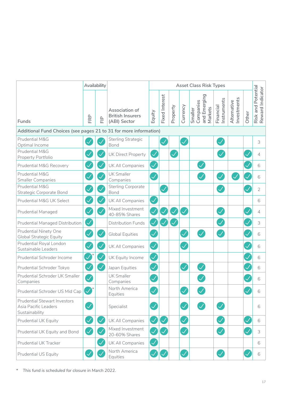|                                                                               | Availability            |              |                                                           | <b>Asset Class Risk Types</b> |                         |          |                         |                                                 |                          |                            |              |                                        |  |
|-------------------------------------------------------------------------------|-------------------------|--------------|-----------------------------------------------------------|-------------------------------|-------------------------|----------|-------------------------|-------------------------------------------------|--------------------------|----------------------------|--------------|----------------------------------------|--|
| Funds                                                                         | FRP                     | 日            | Association of<br><b>British Insurers</b><br>(ABI) Sector | Equity                        | <b>Fixed Interest</b>   | Property | Currency                | Smaller<br>Companies<br>and Emerging<br>Markets | Financial<br>Instruments | Investments<br>Alternative | Other        | Risk and Potential<br>Reward Indicator |  |
| Additional Fund Choices (see pages 21 to 31 for more information)             |                         |              |                                                           |                               |                         |          |                         |                                                 |                          |                            |              |                                        |  |
| Prudential M&G<br>Optimal Income                                              |                         |              | <b>Sterling Strategic</b><br><b>Bond</b>                  |                               |                         |          |                         |                                                 | $\checkmark$             |                            |              | 3                                      |  |
| Prudential M&G<br>Property Portfolio                                          |                         |              | UK Direct Property                                        | $\checkmark$                  |                         |          |                         |                                                 |                          |                            |              | $\overline{4}$                         |  |
| Prudential M&G Recovery                                                       |                         |              | UK All Companies                                          | $\checkmark$                  |                         |          |                         |                                                 |                          |                            |              | 6                                      |  |
| Prudential M&G<br><b>Smaller Companies</b>                                    | $\prec$                 |              | <b>UK Smaller</b><br>Companies                            |                               |                         |          |                         |                                                 |                          |                            |              | 6                                      |  |
| Prudential M&G<br><b>Strategic Corporate Bond</b>                             | $\prec$                 |              | <b>Sterling Corporate</b><br>Bond                         |                               | $\checkmark$            |          |                         |                                                 |                          |                            |              | $\overline{2}$                         |  |
| Prudential M&G UK Select                                                      | $\mathcal{S}$           |              | UK All Companies                                          | $\mathcal{A}$                 |                         |          |                         |                                                 |                          |                            |              | 6                                      |  |
| <b>Prudential Managed</b>                                                     | $\mathcal{\mathcal{A}}$ |              | Mixed Investment<br>40-85% Shares                         |                               |                         |          |                         |                                                 |                          |                            |              | $\overline{4}$                         |  |
| Prudential Managed Distribution                                               | $\blacktriangledown$    |              | <b>Distribution Funds</b>                                 |                               |                         |          |                         |                                                 |                          |                            |              | 3                                      |  |
| <b>Prudential Ninety One</b><br><b>Global Strategic Equity</b>                | $\checkmark$            |              | <b>Global Equities</b>                                    | $\checkmark$                  |                         |          | $\checkmark$            |                                                 | $\checkmark$             |                            |              | 6                                      |  |
| Prudential Royal London<br>Sustainable Leaders                                | $\checkmark$            |              | UK All Companies                                          | $\overline{\mathcal{S}}$      |                         |          | $\checkmark$            |                                                 |                          |                            |              | 6                                      |  |
| Prudential Schroder Income                                                    |                         |              | UK Equity Income                                          | $\mathcal{S}$                 |                         |          |                         |                                                 |                          |                            |              | 6                                      |  |
| Prudential Schroder Tokyo                                                     | <b>A</b>                | $\checkmark$ | Japan Equities                                            | $\checkmark$                  |                         |          | $\checkmark$            |                                                 |                          |                            |              | 6                                      |  |
| Prudential Schroder UK Smaller<br>Companies                                   | $\mathcal{S}$           |              | <b>UK Smaller</b><br>Companies                            |                               |                         |          |                         |                                                 |                          |                            |              | 6                                      |  |
| Prudential Schroder US Mid Cap                                                |                         |              | North America<br>Equities                                 | $\checkmark$                  |                         |          | $\blacktriangledown$    |                                                 |                          |                            | $\checkmark$ | 6                                      |  |
| <b>Prudential Stewart Investors</b><br>Asia Pacific Leaders<br>Sustainability | $\blacktriangledown$    |              | Specialist                                                | $\overline{\mathcal{S}}$      |                         |          | $\mathcal{\mathcal{A}}$ |                                                 | $\bigvee$                |                            |              | 6                                      |  |
| Prudential UK Equity                                                          | $\checkmark$            | $\checkmark$ | UK All Companies                                          | $\mathcal{S}$                 | $\blacktriangledown$    |          | $\mathcal{\mathcal{A}}$ |                                                 | $\overline{\mathcal{S}}$ |                            |              | 6                                      |  |
| Prudential UK Equity and Bond                                                 | $\blacktriangledown$    |              | Mixed Investment<br>20-60% Shares                         | $\blacktriangledown$          | $\blacktriangledown$    |          | $\mathcal{A}$           |                                                 | $\mathcal{\mathcal{A}}$  |                            |              | 3                                      |  |
| Prudential UK Tracker                                                         |                         | $\checkmark$ | UK All Companies                                          | $\blacktriangledown$          |                         |          |                         |                                                 |                          |                            |              | 6                                      |  |
| Prudential US Equity                                                          |                         |              | North America<br>Equities                                 |                               | $\mathcal{\mathcal{A}}$ |          | $\mathcal{S}$           |                                                 | $\mathcal{\mathcal{A}}$  |                            |              | 6                                      |  |

*\* This fund is scheduled for closure in March 2022.*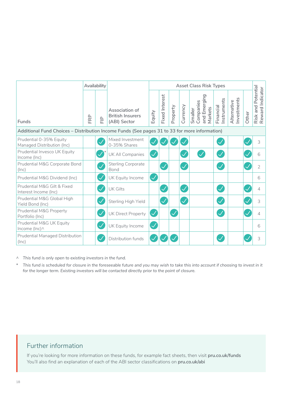|                                                                                               |     | Availability |                                                           | <b>Asset Class Risk Types</b> |                       |          |                            |                                                 |                         |                           |       |                                                    |
|-----------------------------------------------------------------------------------------------|-----|--------------|-----------------------------------------------------------|-------------------------------|-----------------------|----------|----------------------------|-------------------------------------------------|-------------------------|---------------------------|-------|----------------------------------------------------|
| Funds                                                                                         | FRP | 읖            | Association of<br><b>British Insurers</b><br>(ABI) Sector | Equity                        | <b>Fixed Interest</b> | Property | Currency                   | and Emerging<br>Companies<br>Markets<br>Smaller | nstruments<br>Financial | nvestments<br>Alternative | Other | Potential<br>Risk and Potentia<br>Reward Indicator |
| Additional Fund Choices - Distribution Income Funds (See pages 31 to 33 for more information) |     |              |                                                           |                               |                       |          |                            |                                                 |                         |                           |       |                                                    |
| Prudential 0-35% Equity<br>Managed Distribution (Inc)                                         |     |              | Mixed Investment<br>0-35% Shares                          |                               |                       |          |                            |                                                 | $\checkmark$            |                           |       | 3                                                  |
| Prudential Invesco UK Equity<br>Income (Inc)                                                  |     |              | UK All Companies                                          |                               |                       |          | $\checkmark$               |                                                 |                         |                           |       | 6                                                  |
| Prudential M&G Corporate Bond<br>(Inc)                                                        |     |              | <b>Sterling Corporate</b><br>Bond                         |                               |                       |          | $\checkmark$               |                                                 |                         |                           |       | $\overline{2}$                                     |
| Prudential M&G Dividend (Inc)                                                                 |     |              | UK Equity Income                                          | $\checkmark$                  |                       |          |                            |                                                 |                         |                           |       | 6                                                  |
| Prudential M&G Gilt & Fixed<br>Interest Income (Inc)                                          |     |              | <b>UK Gilts</b>                                           |                               |                       |          | $\overline{\checkmark}$    |                                                 |                         |                           |       | 4                                                  |
| Prudential M&G Global High<br>Yield Bond (Inc)                                                |     |              | Sterling High Yield                                       |                               |                       |          | $\boldsymbol{\mathcal{N}}$ |                                                 |                         |                           |       | 3                                                  |
| Prudential M&G Property<br>Portfolio (Inc)                                                    |     |              | <b>UK Direct Property</b>                                 | $\checkmark$                  |                       |          |                            |                                                 |                         |                           |       | 4                                                  |
| Prudential M&G UK Equity<br>Income (Inc) ^                                                    |     |              | UK Equity Income                                          |                               |                       |          |                            |                                                 |                         |                           |       | 6                                                  |
| <b>Prudential Managed Distribution</b><br>(Inc)                                               |     |              | Distribution funds                                        |                               |                       |          |                            |                                                 |                         |                           |       | 3                                                  |

*^ This fund is only open to existing investors in the fund.*

*\* This fund is scheduled for closure in the foreseeable future and you may wish to take this into account if choosing to invest in it for the longer term. Existing investors will be contacted directly prior to the point of closure.*

## Further information

If you're looking for more information on these funds, for example fact sheets, then visit **[pru.co.uk/funds](https://www.pru.co.uk/funds/)** You'll also find an explanation of each of the ABI sector classifications on **[pru.co.uk/abi](https://www.pru.co.uk/funds/abi-sector-definitions/?utm_source=redirect&utm_medium=301&utm_campaign=/abi/)**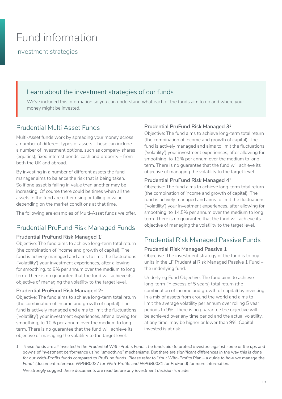## <span id="page-18-0"></span>Fund information

Investment strategies

## Learn about the investment strategies of our funds

We've included this information so you can understand what each of the funds aim to do and where your money might be invested.

## Prudential Multi Asset Funds

Multi-Asset funds work by spreading your money across a number of different types of assets. These can include a number of investment options, such as company shares (equities), fixed interest bonds, cash and property – from both the UK and abroad.

By investing in a number of different assets the fund manager aims to balance the risk that is being taken. So if one asset is falling in value then another may be increasing. Of course there could be times when all the assets in the fund are either rising or falling in value depending on the market conditions at that time.

The following are examples of Multi-Asset funds we offer.

## Prudential PruFund Risk Managed Funds

#### **Prudential PruFund Risk Managed 11**

Objective: The fund aims to achieve long-term total return (the combination of income and growth of capital). The fund is actively managed and aims to limit the fluctuations ('volatility') your investment experiences, after allowing for smoothing, to 9% per annum over the medium to long term. There is no guarantee that the fund will achieve its objective of managing the volatility to the target level.

#### **Prudential PruFund Risk Managed 21**

Objective: The fund aims to achieve long-term total return (the combination of income and growth of capital). The fund is actively managed and aims to limit the fluctuations ('volatility') your investment experiences, after allowing for smoothing, to 10% per annum over the medium to long term. There is no guarantee that the fund will achieve its objective of managing the volatility to the target level.

#### **Prudential PruFund Risk Managed 31**

Objective: The fund aims to achieve long-term total return (the combination of income and growth of capital). The fund is actively managed and aims to limit the fluctuations ('volatility') your investment experiences, after allowing for smoothing, to 12% per annum over the medium to long term. There is no guarantee that the fund will achieve its objective of managing the volatility to the target level.

#### **Prudential PruFund Risk Managed 41**

Objective: The fund aims to achieve long-term total return (the combination of income and growth of capital). The fund is actively managed and aims to limit the fluctuations ('volatility') your investment experiences, after allowing for smoothing, to 14.5% per annum over the medium to long term. There is no guarantee that the fund will achieve its objective of managing the volatility to the target level.

## Prudential Risk Managed Passive Funds

#### **Prudential Risk Managed Passive 1**

Objective: The investment strategy of the fund is to buy units in the LF Prudential Risk Managed Passive 1 Fund – the underlying fund.

Underlying Fund Objective: The fund aims to achieve long-term (in excess of 5 years) total return (the combination of income and growth of capital) by investing in a mix of assets from around the world and aims to limit the average volatility per annum over rolling 5 year periods to 9%. There is no guarantee the objective will be achieved over any time period and the actual volatility, at any time, may be higher or lower than 9%. Capital invested is at risk.

*1 These funds are all invested in the Prudential With-Profits Fund. The funds aim to protect investors against some of the ups and downs of investment performance using "smoothing" mechanisms. But there are significant differences in the way this is done for our With-Profits funds compared to PruFund funds. Please refer to "Your With-Profits Plan – a guide to how we manage the Fund" (document reference WPGB0027 for With-Profits and WPGB0031 for PruFund) for more information. We strongly suggest these documents are read before any investment decision is made.*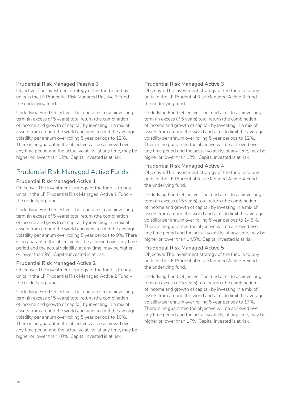#### **Prudential Risk Managed Passive 3**

Objective: The investment strategy of the fund is to buy units in the LF Prudential Risk Managed Passive 3 Fund – the underlying fund.

Underlying Fund Objective: The fund aims to achieve longterm (in excess of 5 years) total return (the combination of income and growth of capital) by investing in a mix of assets from around the world and aims to limit the average volatility per annum over rolling 5 year periods to 12%. There is no guarantee the objective will be achieved over any time period and the actual volatility, at any time, may be higher or lower than 12%. Capital invested is at risk.

## Prudential Risk Managed Active Funds

#### **Prudential Risk Managed Active 1**

Objective: The investment strategy of the fund is to buy units in the LF Prudential Risk Managed Active 1 Fund – the underlying fund.

Underlying Fund Objective: The fund aims to achieve longterm (in excess of 5 years) total return (the combination of income and growth of capital) by investing in a mix of assets from around the world and aims to limit the average volatility per annum over rolling 5 year periods to 9%. There is no guarantee the objective will be achieved over any time period and the actual volatility, at any time, may be higher or lower than 9%. Capital invested is at risk.

#### **Prudential Risk Managed Active 2**

Objective: The investment strategy of the fund is to buy units in the LF Prudential Risk Managed Active 2 Fund – the underlying fund.

Underlying Fund Objective: The fund aims to achieve longterm (in excess of 5 years) total return (the combination of income and growth of capital) by investing in a mix of assets from around the world and aims to limit the average volatility per annum over rolling 5 year periods to 10%. There is no guarantee the objective will be achieved over any time period and the actual volatility, at any time, may be higher or lower than 10%. Capital invested is at risk.

#### **Prudential Risk Managed Active 3**

Objective: The investment strategy of the fund is to buy units in the LF Prudential Risk Managed Active 3 Fund – the underlying fund.

Underlying Fund Objective: The fund aims to achieve longterm (in excess of 5 years) total return (the combination of income and growth of capital) by investing in a mix of assets from around the world and aims to limit the average volatility per annum over rolling 5 year periods to 12%. There is no guarantee the objective will be achieved over any time period and the actual volatility, at any time, may be higher or lower than 12%. Capital invested is at risk.

#### **Prudential Risk Managed Active 4**

Objective: The investment strategy of the fund is to buy units in the LF Prudential Risk Managed Active 4 Fund – the underlying fund.

Underlying Fund Objective: The fund aims to achieve longterm (in excess of 5 years) total return (the combination of income and growth of capital) by investing in a mix of assets from around the world and aims to limit the average volatility per annum over rolling 5 year periods to 14.5%. There is no guarantee the objective will be achieved over any time period and the actual volatility, at any time, may be higher or lower than 14.5%. Capital invested is at risk.

#### **Prudential Risk Managed Active 5**

Objective: The investment strategy of the fund is to buy units in the LF Prudential Risk Managed Active 5 Fund – the underlying fund.

Underlying Fund Objective: The fund aims to achieve longterm (in excess of 5 years) total return (the combination of income and growth of capital) by investing in a mix of assets from around the world and aims to limit the average volatility per annum over rolling 5 year periods to 17%. There is no guarantee the objective will be achieved over any time period and the actual volatility, at any time, may be higher or lower than 17%. Capital invested is at risk.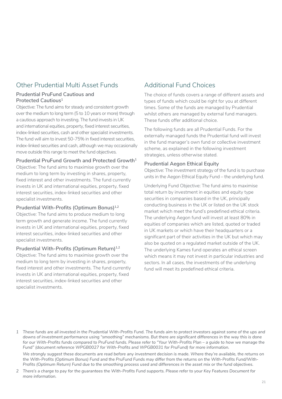## Other Prudential Multi Asset Funds

#### **Prudential PruFund Cautious and Protected Cautious1**

Objective: The fund aims for steady and consistent growth over the medium to long term (5 to 10 years or more) through a cautious approach to investing. The fund invests in UK and international equities, property, fixed interest securities, index-linked securities, cash and other specialist investments. The fund will aim to invest 50-75% in fixed interest securities, index-linked securities and cash, although we may occasionally move outside this range to meet the fund objectives.

#### **Prudential PruFund Growth and Protected Growth1**

Objective: The fund aims to maximise growth over the medium to long term by investing in shares, property, fixed interest and other investments. The fund currently invests in UK and international equities, property, fixed interest securities, index-linked securities and other specialist investments.

#### **Prudential With-Profits (Optimum Bonus)1,2**

Objective: The fund aims to produce medium to long term growth and generate income. The fund currently invests in UK and international equities, property, fixed interest securities, index-linked securities and other specialist investments.

#### Prudential With-Profits (Optimum Return)<sup>1,2</sup>

Objective: The fund aims to maximise growth over the medium to long term by investing in shares, property, fixed interest and other investments. The fund currently invests in UK and international equities, property, fixed interest securities, index-linked securities and other specialist investments.

## Additional Fund Choices

The choice of funds covers a range of different assets and types of funds which could be right for you at different times. Some of the funds are managed by Prudential whilst others are managed by external fund managers. These funds offer additional choice.

The following funds are all Prudential Funds. For the externally managed funds the Prudential fund will invest in the fund manager's own fund or collective investment scheme, as explained in the following investment strategies, unless otherwise stated.

#### **Prudential Aegon Ethical Equity**

Objective: The investment strategy of the fund is to purchase units in the Aegon Ethical Equity Fund – the underlying fund.

Underlying Fund Objective: The fund aims to maximise total return by investment in equities and equity type securities in companies based in the UK, principally conducting business in the UK or listed on the UK stock market which meet the fund's predefined ethical criteria. The underlying Aegon fund will invest at least 80% in equities of companies which are listed, quoted or traded in UK markets or which have their headquarters or a significant part of their activities in the UK but which may also be quoted on a regulated market outside of the UK. The underlying Kames fund operates an ethical screen which means it may not invest in particular industries and sectors. ln all cases, the investments of the underlying fund will meet its predefined ethical criteria.

*1 These funds are all invested in the Prudential With-Profits Fund. The funds aim to protect investors against some of the ups and downs of investment performance using "smoothing" mechanisms. But there are significant differences in the way this is done for our With-Profits funds compared to PruFund funds. Please refer to "Your With-Profits Plan – a guide to how we manage the Fund" (document reference WPGB0027 for With-Profits and WPGB0031 for PruFund) for more information.*

*We strongly suggest these documents are read before any investment decision is made. Where they're available, the returns on the With-Profits (Optimum Bonus) Fund and the PruFund Funds may differ from the returns on the With-Profits Fund/With-Profits (Optimum Return) Fund due to the smoothing process used and differences in the asset mix or the fund objectives.*

*2 There's a charge to pay for the guarantees the With-Profits Fund supports. Please refer to your Key Features Document for more information.*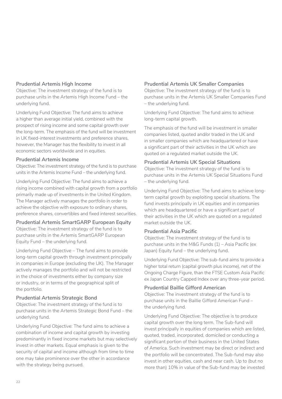#### **Prudential Artemis High Income**

Objective: The investment strategy of the fund is to purchase units in the Artemis High Income Fund – the underlying fund.

Underlying Fund Objective: The fund aims to achieve a higher than average initial yield, combined with the prospect of rising income and some capital growth over the long-term. The emphasis of the fund will be investment in UK fixed-interest investments and preference shares, however, the Manager has the flexibility to invest in all economic sectors worldwide and in equities.

#### **Prudential Artemis Income**

Objective: The investment strategy of the fund is to purchase units in the Artemis Income Fund – the underlying fund.

Underlying Fund Objective: The fund aims to achieve a rising income combined with capital growth from a portfolio primarily made up of investments in the United Kingdom. The Manager actively manages the portfolio in order to achieve the objective with exposure to ordinary shares, preference shares, convertibles and fixed interest securities.

#### **Prudential Artemis SmartGARP European Equity**

Objective: The investment strategy of the fund is to purchase units in the Artemis SmartGARP European Equity Fund – the underlying fund.

Underlying Fund Objective – The fund aims to provide long-term capital growth through investment principally in companies in Europe (excluding the UK). The Manager actively manages the portfolio and will not be restricted in the choice of investments either by company size or industry, or in terms of the geographical split of the portfolio.

#### **Prudential Artemis Strategic Bond**

Objective: The investment strategy of the fund is to purchase units in the Artemis Strategic Bond Fund – the underlying fund.

Underlying Fund Objective: The fund aims to achieve a combination of income and capital growth by investing predominantly in fixed income markets but may selectively invest in other markets. Equal emphasis is given to the security of capital and income although from time to time one may take prominence over the other in accordance with the strategy being pursued.

#### **Prudential Artemis UK Smaller Companies**

Objective: The investment strategy of the fund is to purchase units in the Artemis UK Smaller Companies Fund – the underlying fund.

Underlying Fund Objective: The fund aims to achieve long-term capital growth.

The emphasis of the fund will be investment in smaller companies listed, quoted and/or traded in the UK and in smaller companies which are headquartered or have a significant part of their activities in the UK which are quoted on a regulated market outside the UK.

#### **Prudential Artemis UK Special Situations**

Objective: The investment strategy of the fund is to purchase units in the Artemis UK Special Situations Fund – the underlying fund.

Underlying Fund Objective: The fund aims to achieve longterm capital growth by exploiting special situations. The fund invests principally in UK equities and in companies which are headquartered or have a significant part of their activities in the UK which are quoted on a regulated market outside the UK.

#### **Prudential Asia Pacific**

Objective: The investment strategy of the fund is to purchase units in the M&G Funds (1) – Asia Pacific (ex Japan) Equity fund – the underlying fund.

Underlying Fund Objective: The sub-fund aims to provide a higher total return (capital growth plus income), net of the Ongoing Charge Figure, than the FTSE Custom Asia Pacific ex Japan Country Capped Index over any three-year period.

#### **Prudential Baillie Gifford American**

Objective: The investment strategy of the fund is to purchase units in the Baillie Gifford American Fund – the underlying fund.

Underlying Fund Objective: The objective is to produce capital growth over the long term. The Sub-fund will invest principally in equities of companies which are listed, quoted, traded, incorporated, domiciled or conducting a significant portion of their business in the United States of America. Such investment may be direct or indirect and the portfolio will be concentrated. The Sub-fund may also invest in other equities, cash and near cash. Up to (but no more than) 10% in value of the Sub-fund may be invested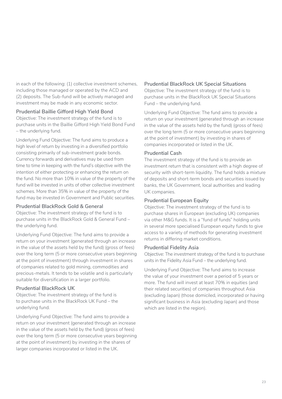in each of the following: (1) collective investment schemes, including those managed or operated by the ACD and (2) deposits. The Sub-fund will be actively managed and investment may be made in any economic sector.

#### **Prudential Baillie Gifford High Yield Bond**

Objective: The investment strategy of the fund is to purchase units in the Baillie Gifford High Yield Bond Fund – the underlying fund.

Underlying Fund Objective: The fund aims to produce a high level of return by investing in a diversified portfolio consisting primarily of sub-investment grade bonds. Currency forwards and derivatives may be used from time to time in keeping with the fund's objective with the intention of either protecting or enhancing the return on the fund. No more than 10% in value of the property of the fund will be invested in units of other collective investment schemes. More than 35% in value of the property of the fund may be invested in Government and Public securities.

#### **Prudential BlackRock Gold & General**

Objective: The investment strategy of the fund is to purchase units in the BlackRock Gold & General Fund – the underlying fund.

Underlying Fund Objective: The fund aims to provide a return on your investment (generated through an increase in the value of the assets held by the fund) (gross of fees) over the long term (5 or more consecutive years beginning at the point of investment) through investment in shares of companies related to gold mining, commodities and precious-metals. It tends to be volatile and is particularly suitable for diversification in a larger portfolio.

#### **Prudential BlackRock UK**

Objective: The investment strategy of the fund is to purchase units in the BlackRock UK Fund – the underlying fund.

Underlying Fund Objective: The fund aims to provide a return on your investment (generated through an increase in the value of the assets held by the fund) (gross of fees) over the long term (5 or more consecutive years beginning at the point of investment) by investing in the shares of larger companies incorporated or listed in the UK.

#### **Prudential BlackRock UK Special Situations**

Objective: The investment strategy of the fund is to purchase units in the BlackRock UK Special Situations Fund – the underlying fund.

Underlying Fund Objective: The fund aims to provide a return on your investment (generated through an increase in the value of the assets held by the fund) (gross of fees) over the long term (5 or more consecutive years beginning at the point of investment) by investing in shares of companies incorporated or listed in the UK.

#### **Prudential Cash**

The investment strategy of the fund is to provide an investment return that is consistent with a high degree of security with short-term liquidity. The fund holds a mixture of deposits and short-term bonds and securities issued by banks, the UK Government, local authorities and leading UK companies.

#### **Prudential European Equity**

Objective: The investment strategy of the fund is to purchase shares in European (excluding UK) companies via other M&G funds. It is a "fund of funds" holding units in several more specialised European equity funds to give access to a variety of methods for generating investment returns in differing market conditions.

#### **Prudential Fidelity Asia**

Objective: The investment strategy of the fund is to purchase units in the Fidelity Asia Fund – the underlying fund.

Underlying Fund Objective: The fund aims to increase the value of your investment over a period of 5 years or more. The fund will invest at least 70% in equities (and their related securities) of companies throughout Asia (excluding Japan) (those domiciled, incorporated or having significant business in Asia (excluding Japan) and those which are listed in the region).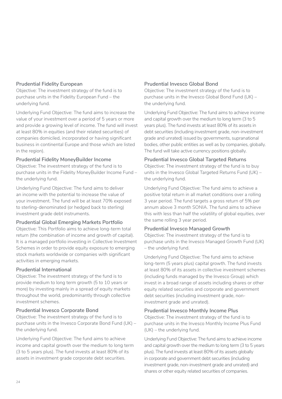#### **Prudential Fidelity European**

Objective: The investment strategy of the fund is to purchase units in the Fidelity European Fund – the underlying fund.

Underlying Fund Objective: The fund aims to increase the value of your investment over a period of 5 years or more and provide a growing level of income. The fund will invest at least 80% in equities (and their related securities) of companies domiciled, incorporated or having significant business in continental Europe and those which are listed in the region).

#### **Prudential Fidelity MoneyBuilder Income**

Objective: The investment strategy of the fund is to purchase units in the Fidelity MoneyBuilder Income Fund – the underlying fund.

Underlying Fund Objective: The fund aims to deliver an income with the potential to increase the value of your investment. The fund will be at least 70% exposed to sterling-denominated (or hedged back to sterling) investment grade debt instruments.

#### **Prudential Global Emerging Markets Portfolio**

Objective: This Portfolio aims to achieve long-term total return (the combination of income and growth of capital). It is a managed portfolio investing in Collective Investment Schemes in order to provide equity exposure to emerging stock markets worldwide or companies with significant activities in emerging markets.

#### **Prudential International**

Objective: The investment strategy of the fund is to provide medium to long term growth (5 to 10 years or more) by investing mainly in a spread of equity markets throughout the world, predominantly through collective investment schemes.

#### **Prudential Invesco Corporate Bond**

Objective: The investment strategy of the fund is to purchase units in the Invesco Corporate Bond Fund (UK) – the underlying fund.

Underlying Fund Objective: The fund aims to achieve income and capital growth over the medium to long term (3 to 5 years plus). The fund invests at least 80% of its assets in investment grade corporate debt securities.

#### **Prudential Invesco Global Bond**

Objective: The investment strategy of the fund is to purchase units in the Invesco Global Bond Fund (UK) – the underlying fund.

Underlying Fund Objective: The fund aims to achieve income and capital growth over the medium to long term (3 to 5 years plus). The fund invests at least 80% of its assets in debt securities (including investment grade, non-investment grade and unrated) issued by governments, supranational bodies, other public entities as well as by companies, globally. The fund will take active currency positions globally.

#### **Prudential Invesco Global Targeted Returns**

Objective: The investment strategy of the fund is to buy units in the Invesco Global Targeted Returns Fund (UK) – the underlying fund.

Underlying Fund Objective: The fund aims to achieve a positive total return in all market conditions over a rolling 3 year period. The fund targets a gross return of 5% per annum above 3 month SONIA. The fund aims to achieve this with less than half the volatility of global equities, over the same rolling 3 year period.

#### **Prudential Invesco Managed Growth**

Objective: The investment strategy of the fund is to purchase units in the Invesco Managed Growth Fund (UK) – the underlying fund.

Underlying Fund Objective: The fund aims to achieve long-term (5 years plus) capital growth. The fund invests at least 80% of its assets in collective investment schemes (including funds managed by the Invesco Group) which invest in a broad range of assets including shares or other equity related securities and corporate and government debt securities (including investment grade, noninvestment grade and unrated).

#### **Prudential Invesco Monthly Income Plus**

Objective: The investment strategy of the fund is to purchase units in the Invesco Monthly Income Plus Fund (UK) – the underlying fund.

Underlying Fund Objective: The fund aims to achieve income and capital growth over the medium to long term (3 to 5 years plus). The fund invests at least 80% of its assets globally in corporate and government debt securities (including investment grade, non-investment grade and unrated) and shares or other equity related securities of companies.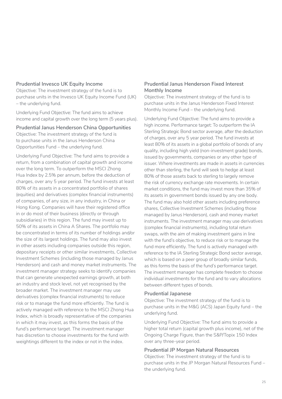#### **Prudential Invesco UK Equity Income**

Objective: The investment strategy of the fund is to purchase units in the Invesco UK Equity Income Fund (UK) – the underlying fund.

Underlying Fund Objective: The fund aims to achieve income and capital growth over the long term (5 years plus).

**Prudential Janus Henderson China Opportunities** Objective: The investment strategy of the fund is to purchase units in the Janus Henderson China Opportunities Fund – the underlying fund.

Underlying Fund Objective: The fund aims to provide a return, from a combination of capital growth and income over the long term. To outperform the MSCI Zhong Hua Index by 2.5% per annum, before the deduction of charges, over any 5 year period. The fund invests at least 80% of its assets in a concentrated portfolio of shares (equities) and derivatives (complex financial instruments) of companies, of any size, in any industry, in China or Hong Kong. Companies will have their registered office in or do most of their business (directly or through subsidiaries) in this region. The fund may invest up to 50% of its assets in China A Shares. The portfolio may be concentrated in terms of its number of holdings and/or the size of its largest holdings. The fund may also invest in other assets including companies outside this region, depositary receipts or other similar investments, Collective Investment Schemes (including those managed by Janus Henderson) and cash and money market instruments. The investment manager strategy seeks to identify companies that can generate unexpected earnings growth, at both an industry and stock level, not yet recognised by the broader market. The investment manager may use derivatives (complex financial instruments) to reduce risk or to manage the fund more efficiently. The fund is actively managed with reference to the MSCI Zhong Hua Index, which is broadly representative of the companies in which it may invest, as this forms the basis of the fund's performance target. The investment manager has discretion to choose investments for the fund with weightings different to the index or not in the index.

#### **Prudential Janus Henderson Fixed Interest Monthly Income**

Objective: The investment strategy of the fund is to purchase units in the Janus Henderson Fixed Interest Monthly Income Fund – the underlying fund.

Underlying Fund Objective: The fund aims to provide a high income. Performance target: To outperform the IA Sterling Strategic Bond sector average, after the deduction of charges, over any 5 year period. The fund invests at least 80% of its assets in a global portfolio of bonds of any quality, including high yield (non-investment grade) bonds, issued by governments, companies or any other type of issuer. Where investments are made in assets in currencies other than sterling, the fund will seek to hedge at least 80% of those assets back to sterling to largely remove the risk of currency exchange rate movements. In certain market conditions, the fund may invest more than 35% of its assets in government bonds issued by any one body. The fund may also hold other assets including preference shares, Collective Investment Schemes (including those managed by Janus Henderson), cash and money market instruments. The investment manager may use derivatives (complex financial instruments), including total return swaps, with the aim of making investment gains in line with the fund's objective, to reduce risk or to manage the fund more efficiently. The fund is actively managed with reference to the IA Sterling Strategic Bond sector average, which is based on a peer group of broadly similar funds, as this forms the basis of the fund's performance target. The investment manager has complete freedom to choose individual investments for the fund and to vary allocations between different types of bonds.

#### **Prudential Japanese**

Objective: The investment strategy of the fund is to purchase units in the M&G (ACS) Japan Equity fund – the underlying fund.

Underlying Fund Objective: The fund aims to provide a higher total return (capital growth plus income), net of the Ongoing Charge Figure, than the S&P/Topix 150 Index over any three-year period.

#### **Prudential JP Morgan Natural Resources**

Objective: The investment strategy of the fund is to purchase units in the JP Morgan Natural Resources Fund – the underlying fund.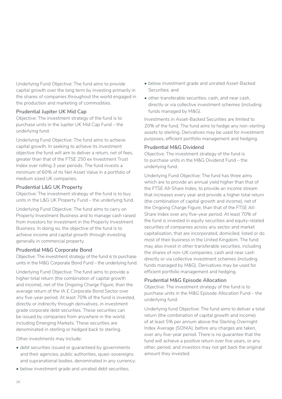Underlying Fund Objective: The fund aims to provide capital growth over the long term by investing primarily in the shares of companies throughout the world engaged in the production and marketing of commodities.

#### **Prudential Jupiter UK Mid Cap**

Objective: The investment strategy of the fund is to purchase units in the Jupiter UK Mid Cap Fund – the underlying fund.

Underlying Fund Objective: The fund aims to achieve capital growth. In seeking to achieve its investment objective the fund will aim to deliver a return, net of fees, greater than that of the FTSE 250 ex Investment Trust Index over rolling 3 year periods. The fund invests a minimum of 60% of its Net Asset Value in a portfolio of medium sized UK companies.

#### **Prudential L&G UK Property**

Objective: The investment strategy of the fund is to buy units in the L&G UK Property Fund – the underlying fund.

Underlying Fund Objective: The fund aims to carry on Property Investment Business and to manage cash raised from investors for investment in the Property Investment Business. In doing so, the objective of the fund is to achieve income and capital growth through investing generally in commercial property.

#### **Prudential M&G Corporate Bond**

Objective: The investment strategy of the fund is to purchase units in the M&G Corporate Bond Fund – the underlying fund.

Underlying Fund Objective: The fund aims to provide a higher total return (the combination of capital growth and income), net of the Ongoing Charge Figure, than the average return of the IA £ Corporate Bond Sector over any five-year period. At least 70% of the fund is invested, directly or indirectly through derivatives, in investment grade corporate debt securities. These securities can be issued by companies from anywhere in the world, including Emerging Markets. These securities are denominated in sterling or hedged back to sterling.

Other investments may include:

- debt securities issued or guaranteed by governments and their agencies, public authorities, quasi-sovereigns and supranational bodies, denominated in any currency;
- below investment grade and unrated debt securities;
- below investment grade and unrated Asset-Backed Securities; and
- other transferable securities, cash, and near cash, directly or via collective investment schemes (including funds managed by M&G).

Investments in Asset-Backed Securities are limited to 20% of the fund. The fund aims to hedge any non-sterling assets to sterling. Derivatives may be used for investment purposes, efficient portfolio management and hedging.

#### **Prudential M&G Dividend**

Objective: The investment strategy of the fund is to purchase units in the M&G Dividend Fund – the underlying fund.

Underlying Fund Objective: The fund has three aims which are to provide an annual yield higher than that of the FTSE All-Share Index, to provide an income stream that increases every year and provide a higher total return (the combination of capital growth and income), net of the Ongoing Charge Figure, than that of the FTSE All-Share Index over any five-year period. At least 70% of the fund is invested in equity securities and equity-related securities of companies across any sector and market capitalisation, that are incorporated, domiciled, listed or do most of their business in the United Kingdom. The fund may also invest in other transferable securities, including the shares of non-UK companies, cash and near cash directly or via collective investment schemes (including funds managed by M&G). Derivatives may be used for efficient portfolio management and hedging.

#### **Prudential M&G Episode Allocation**

Objective: The investment strategy of the fund is to purchase units in the M&G Episode Allocation Fund – the underlying fund.

Underlying fund Objective: The fund aims to deliver a total return (the combination of capital growth and income) of at least 5% per annum above the Sterling Overnight Index Average (SONIA), before any charges are taken, over any five-year period. There is no guarantee that the fund will achieve a positive return over five years, or any other, period, and investors may not get back the original amount they invested.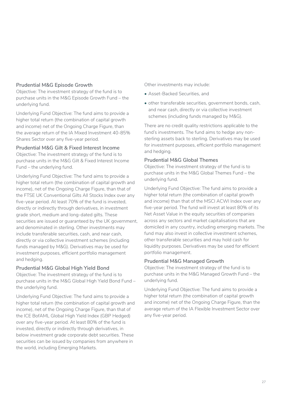#### **Prudential M&G Episode Growth**

Objective: The investment strategy of the fund is to purchase units in the M&G Episode Growth Fund – the underlying fund.

Underlying Fund Objective: The fund aims to provide a higher total return (the combination of capital growth and income) net of the Ongoing Charge Figure, than the average return of the IA Mixed Investment 40-85% Shares Sector over any five-year period.

#### **Prudential M&G Gilt & Fixed Interest Income**

Objective: The investment strategy of the fund is to purchase units in the M&G Gilt & Fixed Interest Income Fund – the underlying fund.

Underlying Fund Objective: The fund aims to provide a higher total return (the combination of capital growth and income), net of the Ongoing Charge Figure, than that of the FTSE UK Conventional Gilts All Stocks Index over any five-year period. At least 70% of the fund is invested, directly or indirectly through derivatives, in investment grade short, medium and long-dated gilts. These securities are issued or guaranteed by the UK government, and denominated in sterling. Other investments may include transferable securities, cash, and near cash, directly or via collective investment schemes (including funds managed by M&G). Derivatives may be used for investment purposes, efficient portfolio management and hedging.

#### **Prudential M&G Global High Yield Bond**

Objective: The investment strategy of the fund is to purchase units in the M&G Global High Yield Bond Fund – the underlying fund.

Underlying Fund Objective: The fund aims to provide a higher total return (the combination of capital growth and income), net of the Ongoing Charge Figure, than that of the ICE BofAML Global High Yield Index (GBP Hedged) over any five-year period. At least 80% of the fund is invested, directly or indirectly through derivatives, in below investment grade corporate debt securities. These securities can be issued by companies from anywhere in the world, including Emerging Markets.

Other investments may include:

- Asset-Backed Securities, and
- other transferable securities, government bonds, cash, and near cash, directly or via collective investment schemes (including funds managed by M&G).

There are no credit quality restrictions applicable to the fund's investments. The fund aims to hedge any nonsterling assets back to sterling. Derivatives may be used for investment purposes, efficient portfolio management and hedging.

#### **Prudential M&G Global Themes**

Objective: The investment strategy of the fund is to purchase units in the M&G Global Themes Fund – the underlying fund.

Underlying Fund Objective: The fund aims to provide a higher total return (the combination of capital growth and income) than that of the MSCI ACWI Index over any five-year period. The fund will invest at least 80% of its Net Asset Value in the equity securities of companies across any sectors and market capitalisations that are domiciled in any country, including emerging markets. The fund may also invest in collective investment schemes. other transferable securities and may hold cash for liquidity purposes. Derivatives may be used for efficient portfolio management.

#### **Prudential M&G Managed Growth**

Objective: The investment strategy of the fund is to purchase units in the M&G Managed Growth Fund – the underlying fund.

Underlying Fund Objective: The fund aims to provide a higher total return (the combination of capital growth and income) net of the Ongoing Charge Figure, than the average return of the IA Flexible Investment Sector over any five-year period.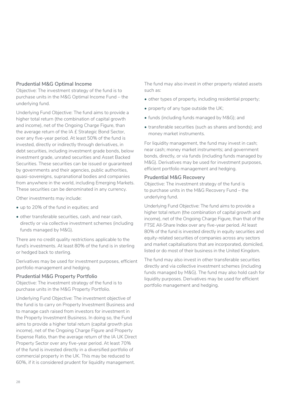#### **Prudential M&G Optimal Income**

Objective: The investment strategy of the fund is to purchase units in the M&G Optimal Income Fund – the underlying fund.

Underlying Fund Objective: The fund aims to provide a higher total return (the combination of capital growth and income), net of the Ongoing Charge Figure, than the average return of the IA £ Strategic Bond Sector, over any five-year period. At least 50% of the fund is invested, directly or indirectly through derivatives, in debt securities, including investment grade bonds, below investment grade, unrated securities and Asset Backed Securities. These securities can be issued or guaranteed by governments and their agencies, public authorities, quasi-sovereigns, supranational bodies and companies from anywhere in the world, including Emerging Markets. These securities can be denominated in any currency.

Other investments may include:

- up to 20% of the fund in equities; and
- other transferable securities, cash, and near cash, directly or via collective investment schemes (including funds managed by M&G).

There are no credit quality restrictions applicable to the fund's investments. At least 80% of the fund is in sterling or hedged back to sterling.

Derivatives may be used for investment purposes, efficient portfolio management and hedging.

#### **Prudential M&G Property Portfolio**

Objective: The investment strategy of the fund is to purchase units in the M&G Property Portfolio.

Underlying Fund Objective: The investment objective of the fund is to carry on Property Investment Business and to manage cash raised from investors for investment in the Property Investment Business. In doing so, the Fund aims to provide a higher total return (capital growth plus income), net of the Ongoing Charge Figure and Property Expense Ratio, than the average return of the IA UK Direct Property Sector over any five-year period. At least 70% of the fund is invested directly in a diversified portfolio of commercial property in the UK. This may be reduced to 60%, if it is considered prudent for liquidity management.

The fund may also invest in other property related assets such as:

- other types of property, including residential property;
- property of any type outside the UK;
- funds (including funds managed by M&G); and
- transferable securities (such as shares and bonds); and money market instruments.

For liquidity management, the fund may invest in cash; near cash; money market instruments; and government bonds, directly, or via funds (including funds managed by M&G). Derivatives may be used for investment purposes, efficient portfolio management and hedging.

#### **Prudential M&G Recovery**

Objective: The investment strategy of the fund is to purchase units in the M&G Recovery Fund – the underlying fund.

Underlying Fund Objective: The fund aims to provide a higher total return (the combination of capital growth and income), net of the Ongoing Charge Figure, than that of the FTSE All-Share Index over any five-year period. At least 80% of the fund is invested directly in equity securities and equity-related securities of companies across any sectors and market capitalisations that are incorporated, domiciled, listed or do most of their business in the United Kingdom.

The fund may also invest in other transferable securities directly and via collective investment schemes (including funds managed by M&G). The fund may also hold cash for liquidity purposes. Derivatives may be used for efficient portfolio management and hedging.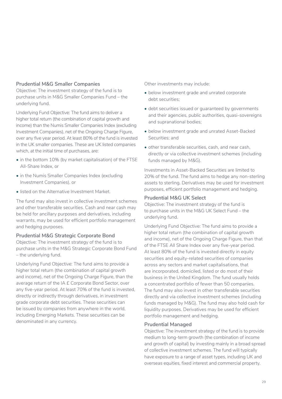#### **Prudential M&G Smaller Companies**

Objective: The investment strategy of the fund is to purchase units in M&G Smaller Companies Fund – the underlying fund.

Underlying Fund Objective: The fund aims to deliver a higher total return (the combination of capital growth and income) than the Numis Smaller Companies Index (excluding Investment Companies), net of the Ongoing Charge Figure, over any five year period. At least 80% of the fund is invested in the UK smaller companies. These are UK listed companies which, at the initial time of purchases, are:

- in the bottom 10% (by market capitalisation) of the FTSE All-Share Index, or
- in the Numis Smaller Companies Index (excluding Investment Companies), or
- listed on the Alternative Investment Market.

The fund may also invest in collective investment schemes and other transferable securities. Cash and near cash may be held for ancillary purposes and derivatives, including warrants, may be used for efficient portfolio management and hedging purposes.

#### **Prudential M&G Strategic Corporate Bond**

Objective: The investment strategy of the fund is to purchase units in the M&G Strategic Corporate Bond Fund – the underlying fund.

Underlying Fund Objective: The fund aims to provide a higher total return (the combination of capital growth and income), net of the Ongoing Charge Figure, than the average return of the IA £ Corporate Bond Sector, over any five-year period. At least 70% of the fund is invested, directly or indirectly through derivatives, in investment grade corporate debt securities. These securities can be issued by companies from anywhere in the world, including Emerging Markets. These securities can be denominated in any currency.

Other investments may include:

- below investment grade and unrated corporate debt securities;
- debt securities issued or guaranteed by governments and their agencies, public authorities, quasi-sovereigns and supranational bodies;
- below investment grade and unrated Asset-Backed Securities; and
- other transferable securities, cash, and near cash, directly or via collective investment schemes (including funds managed by M&G).

Investments in Asset-Backed Securities are limited to 20% of the fund. The fund aims to hedge any non-sterling assets to sterling. Derivatives may be used for investment purposes, efficient portfolio management and hedging.

#### **Prudential M&G UK Select**

Objective: The investment strategy of the fund is to purchase units in the M&G UK Select Fund – the underlying fund.

Underlying Fund Objective: The fund aims to provide a higher total return (the combination of capital growth and income), net of the Ongoing Charge Figure, than that of the FTSE All Share Index over any five-year period. At least 80% of the fund is invested directly in equity securities and equity-related securities of companies across any sectors and market capitalisations, that are incorporated, domiciled, listed or do most of their business in the United Kingdom. The fund usually holds a concentrated portfolio of fewer than 50 companies. The fund may also invest in other transferable securities directly and via collective investment schemes (including funds managed by M&G). The fund may also hold cash for liquidity purposes. Derivatives may be used for efficient portfolio management and hedging.

#### **Prudential Managed**

Objective: The investment strategy of the fund is to provide medium to long-term growth (the combination of income and growth of capital) by investing mainly in a broad spread of collective investment schemes. The fund will typically have exposure to a range of asset types, including UK and overseas equities, fixed interest and commercial property.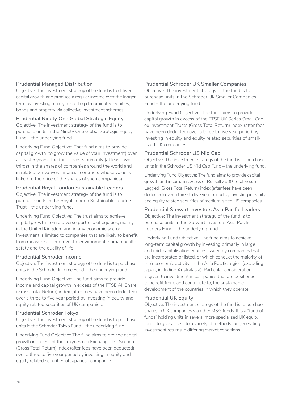#### **Prudential Managed Distribution**

Objective: The investment strategy of the fund is to deliver capital growth and produce a regular income over the longer term by investing mainly in sterling denominated equities, bonds and property via collective investment schemes.

#### **Prudential Ninety One Global Strategic Equity**

Objective: The investment strategy of the fund is to purchase units in the Ninety One Global Strategic Equity Fund – the underlying fund.

Underlying Fund Objective: That fund aims to provide capital growth (to grow the value of your investment) over at least 5 years. The fund invests primarily (at least twothirds) in the shares of companies around the world and in related derivatives (financial contracts whose value is linked to the price of the shares of such companies).

#### **Prudential Royal London Sustainable Leaders**

Objective: The investment strategy of the fund is to purchase units in the Royal London Sustainable Leaders Trust – the underlying fund.

Underlying Fund Objective: The trust aims to achieve capital growth from a diverse portfolio of equities, mainly in the United Kingdom and in any economic sector. Investment is limited to companies that are likely to benefit from measures to improve the environment, human health, safety and the quality of life.

#### **Prudential Schroder Income**

Objective: The investment strategy of the fund is to purchase units in the Schroder Income Fund – the underlying fund.

Underlying Fund Objective: The fund aims to provide income and capital growth in excess of the FTSE All Share (Gross Total Return) index (after fees have been deducted) over a three to five year period by investing in equity and equity related securities of UK companies.

#### **Prudential Schroder Tokyo**

Objective: The investment strategy of the fund is to purchase units in the Schroder Tokyo Fund – the underlying fund.

Underlying Fund Objective: The fund aims to provide capital growth in excess of the Tokyo Stock Exchange 1st Section (Gross Total Return) index (after fees have been deducted) over a three to five year period by investing in equity and equity related securities of Japanese companies.

#### **Prudential Schroder UK Smaller Companies**

Objective: The investment strategy of the fund is to purchase units in the Schroder UK Smaller Companies Fund – the underlying fund.

Underlying Fund Objective: The fund aims to provide capital growth in excess of the FTSE UK Series Small Cap ex Investment Trusts (Gross Total Return) index (after fees have been deducted) over a three to five year period by investing in equity and equity related securities of smallsized UK companies.

#### **Prudential Schroder US Mid Cap**

Objective: The investment strategy of the fund is to purchase units in the Schroder US Mid Cap Fund – the underlying fund.

Underlying Fund Objective: The fund aims to provide capital growth and income in excess of Russell 2500 Total Return Lagged (Gross Total Return) index (after fees have been deducted) over a three to five year period by investing in equity and equity related securities of medium-sized US companies.

#### **Prudential Stewart Investors Asia Pacific Leaders**

Objective: The investment strategy of the fund is to purchase units in the Stewart Investors Asia Pacific Leaders Fund – the underlying fund.

Underlying Fund Objective: The fund aims to achieve long-term capital growth by investing primarily in large and mid-capitalisation equities issued by companies that are incorporated or listed, or which conduct the majority of their economic activity, in the Asia Pacific region (excluding Japan, including Australasia). Particular consideration is given to investment in companies that are positioned to benefit from, and contribute to, the sustainable development of the countries in which they operate.

#### **Prudential UK Equity**

Objective: The investment strategy of the fund is to purchase shares in UK companies via other M&G funds. It is a "fund of funds" holding units in several more specialised UK equity funds to give access to a variety of methods for generating investment returns in differing market conditions.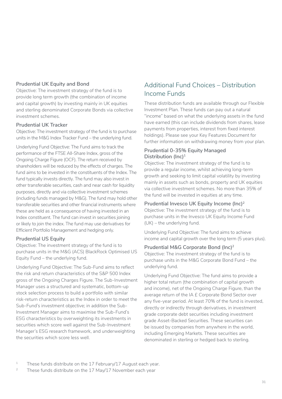#### **Prudential UK Equity and Bond**

Objective: The investment strategy of the fund is to provide long term growth (the combination of income and capital growth) by investing mainly in UK equities and sterling denominated Corporate Bonds via collective investment schemes.

#### **Prudential UK Tracker**

Objective: The investment strategy of the fund is to purchase units in the M&G Index Tracker Fund – the underlying fund.

Underlying Fund Objective: The Fund aims to track the performance of the FTSE All-Share Index, gross of the Ongoing Charge Figure (OCF). The return received by shareholders will be reduced by the effects of charges. The fund aims to be invested in the constituents of the Index. The fund typically invests directly. The fund may also invest in other transferable securities, cash and near cash for liquidity purposes, directly and via collective investment schemes (including funds managed by M&G). The fund may hold other transferable securities and other financial instruments where these are held as a consequence of having invested in an Index constituent. The fund can invest in securities joining or likely to join the index. The fund may use derivatives for Efficient Portfolio Management and hedging only.

#### **Prudential US Equity**

Objective: The investment strategy of the fund is to purchase units in the M&G (ACS) BlackRock Optimised US Equity Fund – the underlying fund.

Underlying Fund Objective: The Sub-Fund aims to reflect the risk and return characteristics of the S&P 500 Index gross of the Ongoing Charges Figure. The Sub-Investment Manager uses a structured and systematic, bottom-up stock selection process to build a portfolio with similar risk-return characteristics as the Index in order to meet the Sub-Fund's investment objective; in addition the Sub-Investment Manager aims to maximise the Sub-Fund's ESG characteristics by overweighting its investments in securities which score well against the Sub-Investment Manager's ESG research framework, and underweighting the securities which score less well.

## Additional Fund Choices – Distribution Income Funds

These distribution funds are available through our Flexible Investment Plan. These funds can pay out a natural "income" based on what the underlying assets in the fund have earned (this can include dividends from shares, lease payments from properties, interest from fixed interest holdings). Please see your Key Features Document for further information on withdrawing money from your plan.

#### **Prudential 0-35% Equity Managed Distribution (Inc)1**

Objective: The investment strategy of the fund is to provide a regular income, whilst achieving long-term growth and seeking to limit capital volatility by investing mainly in assets such as bonds, property and UK equities via collective investment schemes. No more than 35% of the fund will be invested in equities at any time.

#### **Prudential Invesco UK Equity Income (Inc)2**

Objective: The investment strategy of the fund is to purchase units in the Invesco UK Equity Income Fund (UK) – the underlying fund.

Underlying Fund Objective: The fund aims to achieve income and capital growth over the long term (5 years plus).

#### **Prudential M&G Corporate Bond (Inc)2**

Objective: The investment strategy of the fund is to purchase units in the M&G Corporate Bond Fund – the underlying fund.

Underlying Fund Objective: The fund aims to provide a higher total return (the combination of capital growth and income), net of the Ongoing Charge Figure, than the average return of the IA £ Corporate Bond Sector over any five-year period. At least 70% of the fund is invested, directly or indirectly through derivatives, in investment grade corporate debt securities including investment grade Asset-Backed Securities. These securities can be issued by companies from anywhere in the world, including Emerging Markets. These securities are denominated in sterling or hedged back to sterling.

- <sup>1</sup> These funds distribute on the 17 February/17 August each year.
- <sup>2</sup> These funds distribute on the 17 May/17 November each year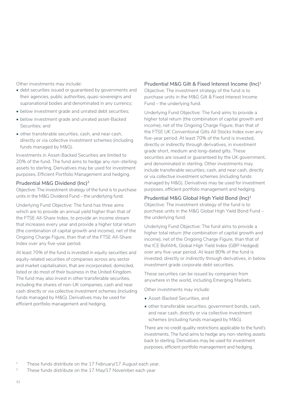Other investments may include:

- debt securities issued or guaranteed by governments and their agencies, public authorities, quasi-sovereigns and supranational bodies and denominated in any currency;
- below investment grade and unrated debt securities;
- below investment grade and unrated asset-Backed Securities; and
- other transferable securities, cash, and near cash, directly or via collective investment schemes (including funds managed by M&G).

Investments in Asset-Backed Securities are limited to 20% of the fund. The fund aims to hedge any non-sterling assets to sterling. Derivatives may be used for investment purposes, Efficient Portfolio Management and hedging.

#### **Prudential M&G Dividend (Inc)2**

Objective: The investment strategy of the fund is to purchase units in the M&G Dividend Fund – the underlying fund.

Underlying Fund Objective: The fund has three aims which are to provide an annual yield higher than that of the FTSE All-Share Index, to provide an income stream that increases every year and provide a higher total return (the combination of capital growth and income), net of the Ongoing Charge Figure, than that of the FTSE All-Share Index over any five-year period.

At least 70% of the fund is invested in equity securities and equity-related securities of companies across any sector and market capitalisation, that are incorporated, domiciled, listed or do most of their business in the United Kingdom. The fund may also invest in other transferable securities, including the shares of non-UK companies, cash and near cash directly or via collective investment schemes (including funds managed by M&G). Derivatives may be used for efficient portfolio management and hedging.

#### **Prudential M&G Gilt & Fixed Interest Income (Inc)1** Objective: The investment strategy of the fund is to purchase units in the M&G Gilt & Fixed Interest Income

Fund – the underlying fund.

Underlying Fund Objective: The fund aims to provide a higher total return (the combination of capital growth and income), net of the Ongoing Charge Figure, than that of the FTSE UK Conventional Gilts All Stocks Index over any five-year period. At least 70% of the fund is invested, directly or indirectly through derivatives, in investment grade short, medium and long-dated gilts. These securities are issued or quaranteed by the UK government. and denominated in sterling. Other investments may include transferable securities, cash, and near cash, directly or via collective investment schemes (including funds managed by M&G). Derivatives may be used for investment purposes, efficient portfolio management and hedging.

#### **Prudential M&G Global High Yield Bond (Inc)2**

Objective: The investment strategy of the fund is to purchase units in the M&G Global High Yield Bond Fund – the underlying fund.

Underlying Fund Objective: The fund aims to provide a higher total return (the combination of capital growth and income), net of the Ongoing Charge Figure, than that of the ICE BofAML Global High Yield Index (GBP Hedged) over any five-year period. At least 80% of the fund is invested, directly or indirectly through derivatives, in below investment grade corporate debt securities.

These securities can be issued by companies from anywhere in the world, including Emerging Markets.

Other investments may include:

- Asset-Backed Securities, and
- other transferable securities, government bonds, cash, and near cash, directly or via collective investment schemes (including funds managed by M&G).

There are no credit quality restrictions applicable to the fund's investments. The fund aims to hedge any non-sterling assets back to sterling. Derivatives may be used for investment purposes, efficient portfolio management and hedging.

<sup>&</sup>lt;sup>1</sup> These funds distribute on the 17 February/17 August each year.

<sup>&</sup>lt;sup>2</sup> These funds distribute on the  $17$  May/ $17$  November each year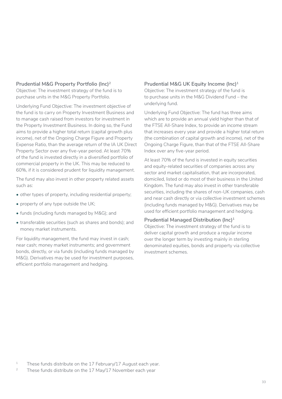#### **Prudential M&G Property Portfolio (Inc)2**

Objective: The investment strategy of the fund is to purchase units in the M&G Property Portfolio.

Underlying Fund Objective: The investment objective of the fund is to carry on Property Investment Business and to manage cash raised from investors for investment in the Property Investment Business. In doing so, the Fund aims to provide a higher total return (capital growth plus income), net of the Ongoing Charge Figure and Property Expense Ratio, than the average return of the IA UK Direct Property Sector over any five-year period. At least 70% of the fund is invested directly in a diversified portfolio of commercial property in the UK. This may be reduced to 60%, if it is considered prudent for liquidity management.

The fund may also invest in other property related assets such as:

- other types of property, including residential property;
- property of any type outside the UK;
- funds (including funds managed by M&G); and
- transferable securities (such as shares and bonds); and money market instruments.

For liquidity management, the fund may invest in cash; near cash; money market instruments; and government bonds, directly, or via funds (including funds managed by M&G). Derivatives may be used for investment purposes, efficient portfolio management and hedging.

#### **Prudential M&G UK Equity Income (Inc)1**

Objective: The investment strategy of the fund is to purchase units in the M&G Dividend Fund – the underlying fund.

Underlying Fund Objective: The fund has three aims which are to provide an annual vield higher than that of the FTSE All-Share Index, to provide an income stream that increases every year and provide a higher total return (the combination of capital growth and income), net of the Ongoing Charge Figure, than that of the FTSE All-Share Index over any five-year period.

At least 70% of the fund is invested in equity securities and equity-related securities of companies across any sector and market capitalisation, that are incorporated, domiciled, listed or do most of their business in the United Kingdom. The fund may also invest in other transferable securities, including the shares of non-UK companies, cash and near cash directly or via collective investment schemes (including funds managed by M&G). Derivatives may be used for efficient portfolio management and hedging.

#### **Prudential Managed Distribution (Inc)1**

Objective: The investment strategy of the fund is to deliver capital growth and produce a regular income over the longer term by investing mainly in sterling denominated equities, bonds and property via collective investment schemes.

<sup>1</sup> These funds distribute on the 17 February/17 August each year.

<sup>2</sup> These funds distribute on the 17 May/17 November each year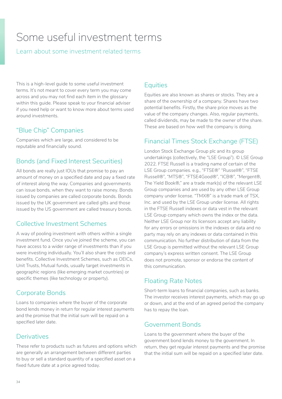## <span id="page-33-0"></span>Some useful investment terms

### Learn about some investment related terms

This is a high-level guide to some useful investment terms. It's not meant to cover every term you may come across and you may not find each item in the glossary within this guide. Please speak to your financial adviser if you need help or want to know more about terms used around investments.

## "Blue Chip" Companies

Companies which are large, and considered to be reputable and financially sound.

## Bonds (and Fixed Interest Securities)

All bonds are really just IOUs that promise to pay an amount of money on a specified date and pay a fixed rate of interest along the way. Companies and governments can issue bonds, when they want to raise money. Bonds issued by companies are called corporate bonds. Bonds issued by the UK government are called gilts and those issued by the US government are called treasury bonds.

## Collective Investment Schemes

A way of pooling investment with others within a single investment fund. Once you've joined the scheme, you can have access to a wider range of investments than if you were investing individually. You'll also share the costs and benefits. Collective Investment Schemes, such as OEICs, Unit Trusts, Mutual funds, usually target investments in geographic regions (like emerging market countries) or specific themes (like technology or property).

## Corporate Bonds

Loans to companies where the buyer of the corporate bond lends money in return for regular interest payments and the promise that the initial sum will be repaid on a specified later date.

## Derivatives

These refer to products such as futures and options which are generally an arrangement between different parties to buy or sell a standard quantity of a specified asset on a fixed future date at a price agreed today.

## **Equities**

Equities are also known as shares or stocks. They are a share of the ownership of a company. Shares have two potential benefits. Firstly, the share price moves as the value of the company changes. Also, regular payments, called dividends, may be made to the owner of the share. These are based on how well the company is doing.

## Financial Times Stock Exchange (FTSE)

London Stock Exchange Group plc and its group undertakings (collectively, the "LSE Group"). © LSE Group 2022. FTSE Russell is a trading name of certain of the LSE Group companies. e.g., "FTSE®" "Russell®", "FTSE Russell®", "MTS®", "FTSE4Good®", "ICB®", "Mergent®, The Yield Book®," are a trade mark(s) of the relevant LSE Group companies and are used by any other LSE Group company under license. "TMX®" is a trade mark of TSX, Inc. and used by the LSE Group under license. All rights in the FTSE Russell indexes or data vest in the relevant LSE Group company which owns the index or the data. Neither LSE Group nor its licensors accept any liability for any errors or omissions in the indexes or data and no party may rely on any indexes or data contained in this communication. No further distribution of data from the LSE Group is permitted without the relevant LSE Group company's express written consent. The LSE Group does not promote, sponsor or endorse the content of this communication.

## Floating Rate Notes

Short-term loans to financial companies, such as banks. The investor receives interest payments, which may go up or down, and at the end of an agreed period the company has to repay the loan.

## Government Bonds

Loans to the government where the buyer of the government bond lends money to the government. In return, they get regular interest payments and the promise that the initial sum will be repaid on a specified later date.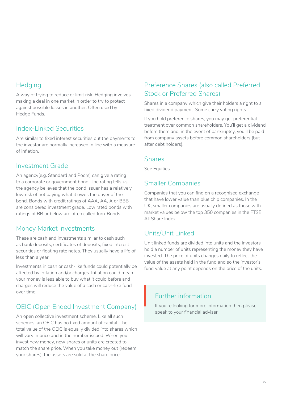## **Hedging**

A way of trying to reduce or limit risk. Hedging involves making a deal in one market in order to try to protect against possible losses in another. Often used by Hedge Funds.

## Index-Linked Securities

Are similar to fixed interest securities but the payments to the investor are normally increased in line with a measure of inflation.

## Investment Grade

An agency(e.g. Standard and Poors) can give a rating to a corporate or government bond. The rating tells us the agency believes that the bond issuer has a relatively low risk of not paying what it owes the buyer of the bond. Bonds with credit ratings of AAA, AA, A or BBB are considered investment grade. Low rated bonds with ratings of BB or below are often called Junk Bonds.

## Money Market Investments

These are cash and investments similar to cash such as bank deposits, certificates of deposits, fixed interest securities or floating rate notes. They usually have a life of less than a year.

Investments in cash or cash-like funds could potentially be affected by inflation and/or charges. Inflation could mean your money is less able to buy what it could before and charges will reduce the value of a cash or cash-like fund over time.

## OEIC (Open Ended Investment Company)

An open collective investment scheme. Like all such schemes, an OEIC has no fixed amount of capital. The total value of the OEIC is equally divided into shares which will vary in price and in the number issued. When you invest new money, new shares or units are created to match the share price. When you take money out (redeem your shares), the assets are sold at the share price.

## Preference Shares (also called Preferred Stock or Preferred Shares)

Shares in a company which give their holders a right to a fixed dividend payment. Some carry voting rights.

If you hold preference shares, you may get preferential treatment over common shareholders. You'll get a dividend before them and, in the event of bankruptcy, you'll be paid from company assets before common shareholders (but after debt holders).

### **Shares**

See Equities.

## Smaller Companies

Companies that you can find on a recognised exchange that have lower value than blue chip companies. In the UK, smaller companies are usually defined as those with market values below the top 350 companies in the FTSE All Share Index.

## Units/Unit Linked

Unit linked funds are divided into units and the investors hold a number of units representing the money they have invested. The price of units changes daily to reflect the value of the assets held in the fund and so the investor's fund value at any point depends on the price of the units.

## Further information

If you're looking for more information then please speak to your financial adviser.  $\begin{array}{c} \n\end{array}$